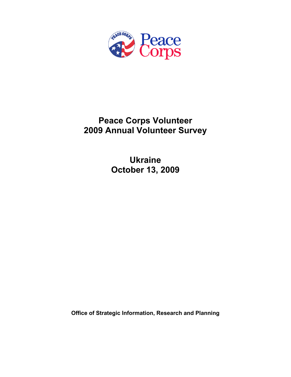

# **Peace Corps Volunteer 2009 Annual Volunteer Survey**

**Ukraine October 13, 2009** 

**Office of Strategic Information, Research and Planning**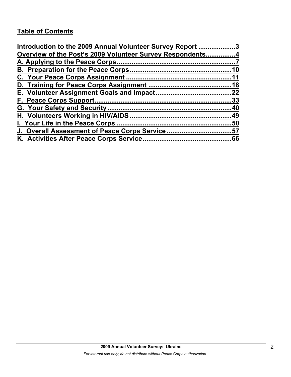# **Table of Contents**

| Introduction to the 2009 Annual Volunteer Survey Report 3 |    |
|-----------------------------------------------------------|----|
| Overview of the Post's 2009 Volunteer Survey Respondents4 |    |
|                                                           |    |
|                                                           | 10 |
|                                                           |    |
|                                                           |    |
|                                                           |    |
|                                                           |    |
|                                                           |    |
|                                                           |    |
|                                                           |    |
| J. Overall Assessment of Peace Corps Service57            |    |
|                                                           |    |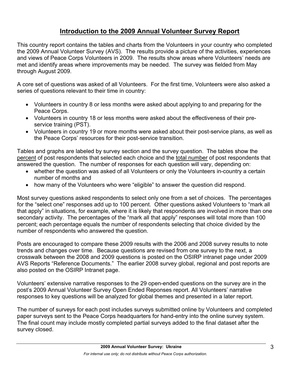# **Introduction to the 2009 Annual Volunteer Survey Report**

This country report contains the tables and charts from the Volunteers in your country who completed the 2009 Annual Volunteer Survey (AVS). The results provide a picture of the activities, experiences and views of Peace Corps Volunteers in 2009. The results show areas where Volunteers' needs are met and identify areas where improvements may be needed. The survey was fielded from May through August 2009.

A core set of questions was asked of all Volunteers. For the first time, Volunteers were also asked a series of questions relevant to their time in country:

- Volunteers in country 8 or less months were asked about applying to and preparing for the Peace Corps.
- Volunteers in country 18 or less months were asked about the effectiveness of their preservice training (PST).
- Volunteers in country 19 or more months were asked about their post-service plans, as well as the Peace Corps' resources for their post-service transition.

Tables and graphs are labeled by survey section and the survey question. The tables show the percent of post respondents that selected each choice and the total number of post respondents that answered the question. The number of responses for each question will vary, depending on:

- whether the question was asked of all Volunteers or only the Volunteers in-country a certain number of months and
- how many of the Volunteers who were "eligible" to answer the question did respond.

Most survey questions asked respondents to select only one from a set of choices. The percentages for the "select one" responses add up to 100 percent. Other questions asked Volunteers to "mark all that apply" in situations, for example, where it is likely that respondents are involved in more than one secondary activity. The percentages of the "mark all that apply" responses will total more than 100 percent; each percentage equals the number of respondents selecting that choice divided by the number of respondents who answered the question.

Posts are encouraged to compare these 2009 results with the 2006 and 2008 survey results to note trends and changes over time. Because questions are revised from one survey to the next, a crosswalk between the 2008 and 2009 questions is posted on the OSIRP intranet page under 2009 AVS Reports "Reference Documents." The earlier 2008 survey global, regional and post reports are also posted on the OSIRP Intranet page.

Volunteers' extensive narrative responses to the 29 open-ended questions on the survey are in the post's 2009 Annual Volunteer Survey Open Ended Reponses report. All Volunteers' narrative responses to key questions will be analyzed for global themes and presented in a later report.

The number of surveys for each post includes surveys submitted online by Volunteers and completed paper surveys sent to the Peace Corps headquarters for hand-entry into the online survey system. The final count may include mostly completed partial surveys added to the final dataset after the survey closed.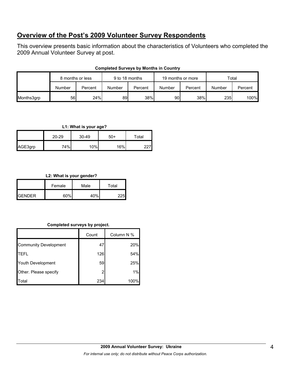# **Overview of the Post's 2009 Volunteer Survey Respondents**

This overview presents basic information about the characteristics of Volunteers who completed the 2009 Annual Volunteer Survey at post.

|            | 8 months or less |         | 9 to 18 months |         | 19 months or more |         | Total  |         |
|------------|------------------|---------|----------------|---------|-------------------|---------|--------|---------|
|            | Number           | Percent | Number         | Percent | Number            | Percent | Number | Percent |
| Months3grp | 56               | 24%     | 89             | 38%     | 90                | 38%     | 235    | 100%    |

## **Completed Surveys by Months in Country**

## **L1: What is your age?**

|         | $20 - 29$ | $30 - 49$ | -50 | $\tau$ otal |
|---------|-----------|-----------|-----|-------------|
| AGE3grp | 74%I      | 10%       | 16% |             |

## **L2: What is your gender?**

|                | Female | Male | Total |
|----------------|--------|------|-------|
| <b>IGENDER</b> | 60%    | 40%  |       |

## **Completed surveys by project.**

|                              | Count | Column N % |
|------------------------------|-------|------------|
| <b>Community Development</b> | 47    | 20%        |
| <b>TEFL</b>                  | 126   | 54%        |
| Youth Development            | 59    | 25%        |
| Other. Please specify        | 2     | 1%         |
| Total                        | 234   | 100%       |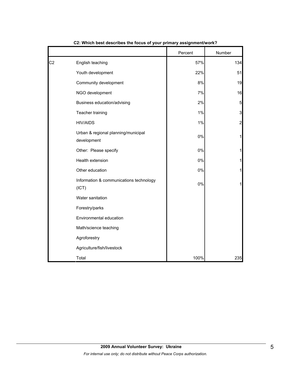|                |                                                    | Percent | Number         |
|----------------|----------------------------------------------------|---------|----------------|
| C <sub>2</sub> | English teaching                                   | 57%     | 134            |
|                | Youth development                                  | 22%     | 51             |
|                | Community development                              | 8%      | 19             |
|                | NGO development                                    | 7%      | 16             |
|                | Business education/advising                        | 2%      | 5              |
|                | Teacher training                                   | 1%      | $\mathbf{3}$   |
|                | <b>HIV/AIDS</b>                                    | 1%      | $\overline{c}$ |
|                | Urban & regional planning/municipal<br>development | $0\%$   | $\mathbf{1}$   |
|                | Other: Please specify                              | 0%      | 1              |
|                | Health extension                                   | 0%      | 1              |
|                | Other education                                    | $0\%$   | 1              |
|                | Information & communications technology<br>(ICT)   | 0%      | 1              |
|                | Water sanitation                                   |         |                |
|                | Forestry/parks                                     |         |                |
|                | Environmental education                            |         |                |
|                | Math/science teaching                              |         |                |
|                | Agroforestry                                       |         |                |
|                | Agriculture/fish/livestock                         |         |                |
|                | Total                                              | 100%    | 235            |

**C2: Which best describes the focus of your primary assignment/work?**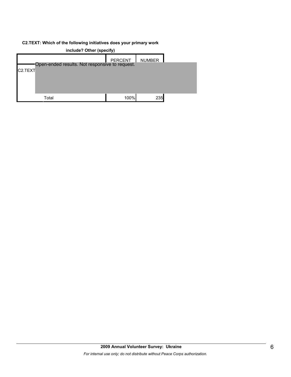#### **C2.TEXT: Which of the following initiatives does your primary work**

|                      |                                                | <b>PERCENT</b> | <b>NUMBER</b> |  |
|----------------------|------------------------------------------------|----------------|---------------|--|
|                      | Open-ended results. Not responsive to request. |                |               |  |
| C <sub>2</sub> .TEXT |                                                |                |               |  |
|                      |                                                |                |               |  |
|                      |                                                |                |               |  |
|                      |                                                |                |               |  |
|                      |                                                |                |               |  |
|                      | Total                                          | 100%           | 235           |  |
|                      |                                                |                |               |  |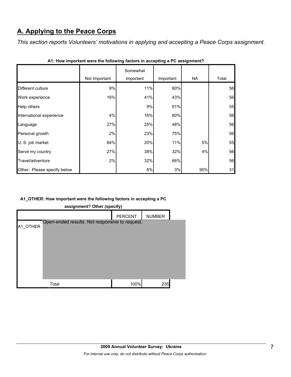# **A. Applying to the Peace Corps**

*This section reports Volunteers' motivations in applying and accepting a Peace Corps assignment.* 

|                             | Not Important | Somewhat<br>important | Important | <b>NA</b> | Total |
|-----------------------------|---------------|-----------------------|-----------|-----------|-------|
| Different culture           | 9%            | 11%                   | 80%       |           | 56    |
| Work experience             | 16%           | 41%                   | 43%       |           | 56    |
| Help others                 |               | 9%                    | 91%       |           | 55    |
| International experience    | 4%            | 16%                   | 80%       |           | 56    |
| Language                    | 27%           | 25%                   | 48%       |           | 56    |
| Personal growth             | 2%            | 23%                   | 75%       |           | 56    |
| U. S. job market            | 64%           | 20%                   | 11%       | 5%        | 55    |
| Serve my country            | 27%           | 38%                   | 32%       | 4%        | 56    |
| Travel/adventure            | 2%            | 32%                   | 66%       |           | 56    |
| Other: Please specify below |               | 6%                    | 3%        | 90%       | 31    |

**A1: How important were the following factors in accepting a PC assignment?**

# **A1\_OTHER: How important were the following factors in accepting a PC**

| assignment? Other (specify) |                                                |                |               |  |  |
|-----------------------------|------------------------------------------------|----------------|---------------|--|--|
|                             |                                                | <b>PERCENT</b> | <b>NUMBER</b> |  |  |
| A1 OTHER                    | Open-ended results. Not responsive to request. |                |               |  |  |
|                             |                                                |                |               |  |  |
|                             |                                                |                |               |  |  |
|                             |                                                |                |               |  |  |
|                             |                                                |                |               |  |  |
|                             | Total                                          | 100%           | 235           |  |  |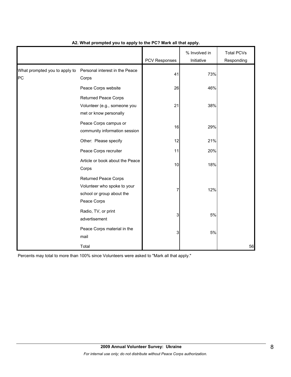|                                     |                                                                                                        | <b>PCV Responses</b> | % Involved in<br>Initiative | <b>Total PCVs</b><br>Responding |
|-------------------------------------|--------------------------------------------------------------------------------------------------------|----------------------|-----------------------------|---------------------------------|
| What prompted you to apply to<br>PC | Personal interest in the Peace<br>Corps                                                                | 41                   | 73%                         |                                 |
|                                     | Peace Corps website                                                                                    | 26                   | 46%                         |                                 |
|                                     | <b>Returned Peace Corps</b><br>Volunteer (e.g., someone you<br>met or know personally                  | 21                   | 38%                         |                                 |
|                                     | Peace Corps campus or<br>community information session                                                 | 16                   | 29%                         |                                 |
|                                     | Other: Please specify                                                                                  | 12                   | 21%                         |                                 |
|                                     | Peace Corps recruiter                                                                                  | 11                   | 20%                         |                                 |
|                                     | Article or book about the Peace<br>Corps                                                               | 10                   | 18%                         |                                 |
|                                     | <b>Returned Peace Corps</b><br>Volunteer who spoke to your<br>school or group about the<br>Peace Corps | 7                    | 12%                         |                                 |
|                                     | Radio, TV, or print<br>advertisement                                                                   | 3                    | 5%                          |                                 |
|                                     | Peace Corps material in the<br>mail                                                                    | 3                    | 5%                          |                                 |
|                                     | Total                                                                                                  |                      |                             | 56                              |

## **A2. What prompted you to apply to the PC? Mark all that apply.**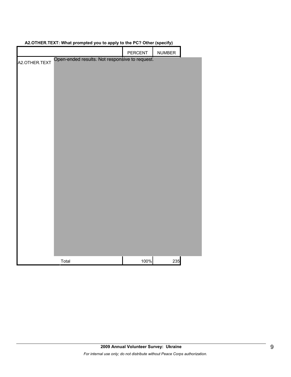|               | <b>11.50</b>                                   |         | 1 T T<br><u>,,</u> |  |
|---------------|------------------------------------------------|---------|--------------------|--|
|               |                                                | PERCENT | NUMBER             |  |
| A2.OTHER.TEXT | Open-ended results. Not responsive to request. |         |                    |  |
|               |                                                |         |                    |  |
|               |                                                |         |                    |  |
|               |                                                |         |                    |  |
|               |                                                |         |                    |  |
|               |                                                |         |                    |  |
|               |                                                |         |                    |  |
|               |                                                |         |                    |  |
|               |                                                |         |                    |  |
|               |                                                |         |                    |  |
|               |                                                |         |                    |  |
|               |                                                |         |                    |  |
|               |                                                |         |                    |  |
|               |                                                |         |                    |  |
|               |                                                |         |                    |  |
|               |                                                |         |                    |  |
|               |                                                |         |                    |  |
|               |                                                |         |                    |  |
|               |                                                |         |                    |  |
|               |                                                |         |                    |  |
|               |                                                |         |                    |  |
|               |                                                |         |                    |  |
|               |                                                |         |                    |  |
|               | Total                                          | 100%    | 235                |  |

# **A2.OTHER.TEXT: What prompted you to apply to the PC? Other (specify)**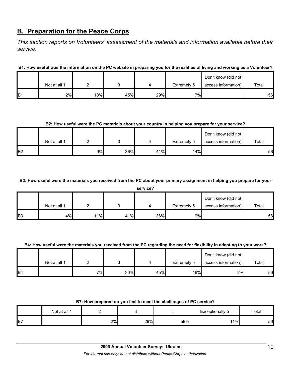# **B. Preparation for the Peace Corps**

*This section reports on Volunteers' assessment of the materials and information available before their service.* 

**B1: How useful was the information on the PC website in preparing you for the realities of living and working as a Volunteer?**

|                 |              |     |     |     |             | Don't know (did not |       |
|-----------------|--------------|-----|-----|-----|-------------|---------------------|-------|
|                 | Not at all 1 |     |     |     | Extremely 5 | access information) | Total |
| IB <sub>1</sub> | 2%           | 18% | 45% | 29% | 7%          |                     | 56    |

#### **B2: How useful were the PC materials about your country in helping you prepare for your service?**

|            |              |    |     |     |             | Don't know (did not |       |
|------------|--------------|----|-----|-----|-------------|---------------------|-------|
|            | Not at all 1 |    |     |     | Extremely 5 | access information) | Total |
| <b>IB2</b> |              | 9% | 36% | 41% | 14%         |                     | 56    |

**B3: How useful were the materials you received from the PC about your primary assignment in helping you prepare for your** 

|                | service?     |     |     |     |             |                     |       |  |  |  |
|----------------|--------------|-----|-----|-----|-------------|---------------------|-------|--|--|--|
|                |              |     |     |     |             | Don't know (did not |       |  |  |  |
|                | Not at all 1 |     |     |     | Extremely 5 | access information) | Total |  |  |  |
| B <sub>3</sub> | 4%           | 11% | 41% | 36% | 9%          |                     | 56    |  |  |  |

## **B4: How useful were the materials you received from the PC regarding the need for flexibility in adapting to your work?**

|                |              |       |     |     |             | Don't know (did not |       |
|----------------|--------------|-------|-----|-----|-------------|---------------------|-------|
|                | Not at all 1 |       |     |     | Extremely 5 | access information) | Total |
| B <sub>4</sub> |              | י וס⁄ | 30% | 45% | 16%         | 2%                  | 56    |

#### **B7: How prepared do you feel to meet the challenges of PC service?**

|                | Not at all " |    |     |     | Exceptionally<br>$ \lambda$ UF<br>ື | Total |
|----------------|--------------|----|-----|-----|-------------------------------------|-------|
| B <sub>7</sub> |              | 2% | 29% | 59% | $1\%$                               | 56    |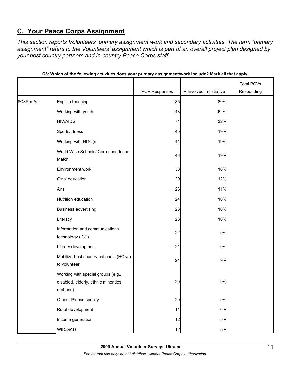# **C. Your Peace Corps Assignment**

*This section reports Volunteers' primary assignment work and secondary activities. The term "primary assignment" refers to the Volunteers' assignment which is part of an overall project plan designed by your host country partners and in-country Peace Corps staff.* 

|            |                                                                                         |               |                          | <b>Total PCVs</b> |
|------------|-----------------------------------------------------------------------------------------|---------------|--------------------------|-------------------|
|            |                                                                                         | PCV Responses | % Involved in Initiative | Responding        |
| \$C3PrmAct | English teaching                                                                        | 185           | 80%                      |                   |
|            | Working with youth                                                                      | 143           | 62%                      |                   |
|            | <b>HIV/AIDS</b>                                                                         | 74            | 32%                      |                   |
|            | Sports/fitness                                                                          | 45            | 19%                      |                   |
|            | Working with NGO(s)                                                                     | 44            | 19%                      |                   |
|            | World Wise Schools/ Correspondence<br>Match                                             | 43            | 19%                      |                   |
|            | Environment work                                                                        | 38            | 16%                      |                   |
|            | Girls' education                                                                        | 29            | 12%                      |                   |
|            | Arts                                                                                    | 26            | 11%                      |                   |
|            | Nutrition education                                                                     | 24            | 10%                      |                   |
|            | <b>Business advertising</b>                                                             | 23            | 10%                      |                   |
|            | Literacy                                                                                | 23            | 10%                      |                   |
|            | Information and communications<br>technology (ICT)                                      | 22            | 9%                       |                   |
|            | Library development                                                                     | 21            | 9%                       |                   |
|            | Mobilize host country nationals (HCNs)<br>to volunteer                                  | 21            | 9%                       |                   |
|            | Working with special groups (e.g.,<br>disabled, elderly, ethnic minorities,<br>orphans) | 20            | 9%                       |                   |
|            | Other: Please specify                                                                   | 20            | $9\%$                    |                   |
|            | Rural development                                                                       | 14            | $6\%$                    |                   |
|            | Income generation                                                                       | 12            | $5\%$                    |                   |
|            | WID/GAD                                                                                 | 12            | $5\%$                    |                   |

| C3: Which of the following activities does your primary assignment/work include? Mark all that apply. |  |  |  |
|-------------------------------------------------------------------------------------------------------|--|--|--|
|                                                                                                       |  |  |  |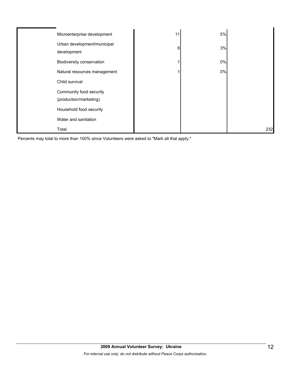| Microenterprise development                       | 11 | 5% |     |
|---------------------------------------------------|----|----|-----|
| Urban development/municipal<br>development        | 8  | 3% |     |
| Biodiversity conservation                         |    | 0% |     |
| Natural resources management                      |    | 0% |     |
| Child survival                                    |    |    |     |
| Community food security<br>(production/marketing) |    |    |     |
| Household food security                           |    |    |     |
| Water and sanitation                              |    |    |     |
| Total                                             |    |    | 232 |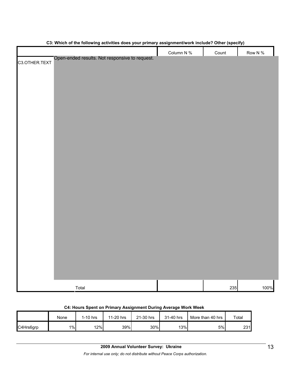|                                                                 | Column N % | Count | Row N % |
|-----------------------------------------------------------------|------------|-------|---------|
| Open-ended results. Not responsive to request.<br>C3.OTHER.TEXT |            |       |         |
|                                                                 |            |       |         |
|                                                                 |            |       |         |
|                                                                 |            |       |         |
|                                                                 |            |       |         |
|                                                                 |            |       |         |
|                                                                 |            |       |         |
|                                                                 |            |       |         |
|                                                                 |            |       |         |
|                                                                 |            |       |         |
|                                                                 |            |       |         |
|                                                                 |            |       |         |
|                                                                 |            |       |         |
|                                                                 |            |       |         |
|                                                                 |            |       |         |
|                                                                 |            |       |         |
|                                                                 |            |       |         |
|                                                                 |            |       |         |
|                                                                 |            |       |         |
|                                                                 |            |       |         |
|                                                                 |            |       |         |
|                                                                 |            |       |         |
|                                                                 |            |       |         |
|                                                                 |            |       |         |
|                                                                 |            |       |         |
|                                                                 |            |       |         |
|                                                                 |            |       |         |
|                                                                 |            |       |         |
| Total                                                           |            | 235   | 100%    |

#### **C3: Which of the following activities does your primary assignment/work include? Other (specify)**

| C4: Hours Spent on Primary Assignment During Average Work Week |  |  |
|----------------------------------------------------------------|--|--|
|----------------------------------------------------------------|--|--|

|           | None | 1-10 hrs | 11-20 hrs | 21-30 hrs | 31-40 hrs | More than 40 hrs | Total |
|-----------|------|----------|-----------|-----------|-----------|------------------|-------|
| C4Hrs6grp | 1%   | 12%      | 39%       | 30%       | 13%       | 5%               | 231   |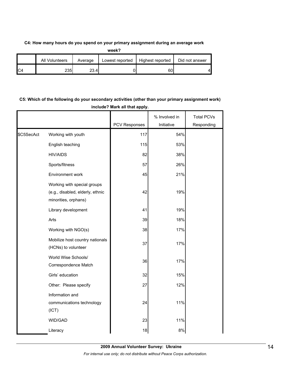### **C4: How many hours do you spend on your primary assignment during an average work**

|                | All Volunteers | Average | Lowest reported | Highest reported | Did not answer |
|----------------|----------------|---------|-----------------|------------------|----------------|
| C <sub>4</sub> | 2351           | 23.4    |                 | 60               | Δ              |

# **C5: Which of the following do your secondary activities (other than your primary assignment work) include? Mark all that apply.**

|            |                                                                                         |               | % Involved in | <b>Total PCVs</b> |
|------------|-----------------------------------------------------------------------------------------|---------------|---------------|-------------------|
|            |                                                                                         | PCV Responses | Initiative    | Responding        |
| \$C5SecAct | Working with youth                                                                      | 117           | 54%           |                   |
|            | English teaching                                                                        | 115           | 53%           |                   |
|            | <b>HIV/AIDS</b>                                                                         | 82            | 38%           |                   |
|            | Sports/fitness                                                                          | 57            | 26%           |                   |
|            | Environment work                                                                        | 45            | 21%           |                   |
|            | Working with special groups<br>(e.g., disabled, elderly, ethnic<br>minorities, orphans) | 42            | 19%           |                   |
|            | Library development                                                                     | 41            | 19%           |                   |
|            | Arts                                                                                    | 39            | 18%           |                   |
|            | Working with NGO(s)                                                                     | 38            | 17%           |                   |
|            | Mobilize host country nationals<br>(HCNs) to volunteer                                  | 37            | 17%           |                   |
|            | World Wise Schools/<br>Correspondence Match                                             | 36            | 17%           |                   |
|            | Girls' education                                                                        | 32            | 15%           |                   |
|            | Other: Please specify                                                                   | 27            | 12%           |                   |
|            | Information and<br>communications technology<br>(ICT)                                   | 24            | 11%           |                   |
|            | WID/GAD                                                                                 | 23            | 11%           |                   |
|            | Literacy                                                                                | 18            | 8%            |                   |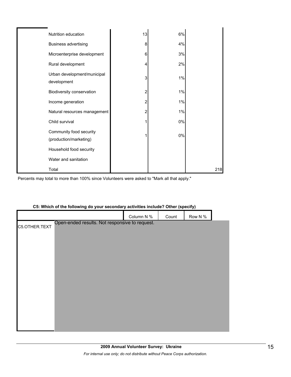| Nutrition education                               | 13             | 6%    |     |
|---------------------------------------------------|----------------|-------|-----|
| <b>Business advertising</b>                       | 8              | 4%    |     |
| Microenterprise development                       | 6              | 3%    |     |
| Rural development                                 | 4              | 2%    |     |
| Urban development/municipal<br>development        | 3              | 1%    |     |
| Biodiversity conservation                         | $\overline{c}$ | 1%    |     |
| Income generation                                 | 2              | $1\%$ |     |
| Natural resources management                      | 2              | 1%    |     |
| Child survival                                    | 1              | 0%    |     |
| Community food security<br>(production/marketing) | 1              | 0%    |     |
| Household food security                           |                |       |     |
| Water and sanitation                              |                |       |     |
| Total                                             |                |       | 218 |

Percents may total to more than 100% since Volunteers were asked to "Mark all that apply."

## **C5: Which of the following do your secondary activities include? Other (specify)**

|               |                                                | Column N % | Count | Row N % |  |
|---------------|------------------------------------------------|------------|-------|---------|--|
| C5.OTHER.TEXT | Open-ended results. Not responsive to request. |            |       |         |  |
|               |                                                |            |       |         |  |
|               |                                                |            |       |         |  |
|               |                                                |            |       |         |  |
|               |                                                |            |       |         |  |
|               |                                                |            |       |         |  |
|               |                                                |            |       |         |  |
|               |                                                |            |       |         |  |
|               |                                                |            |       |         |  |
|               |                                                |            |       |         |  |
|               |                                                |            |       |         |  |
|               |                                                |            |       |         |  |
|               |                                                |            |       |         |  |
|               |                                                |            |       |         |  |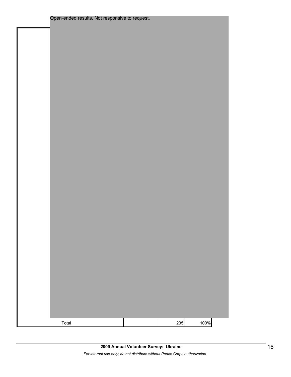| Total |  | 235 | 100% |
|-------|--|-----|------|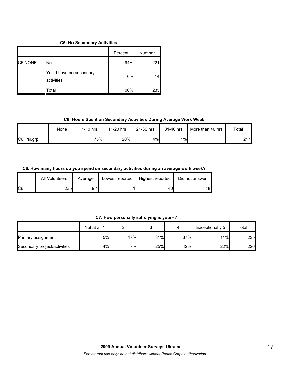#### **C5: No Secondary Activities**

|         |                                        | Percent | Number |
|---------|----------------------------------------|---------|--------|
| C5.NONE | No                                     | 94%     | 221    |
|         | Yes, I have no secondary<br>activities | 6%      | 14     |
|         | Total                                  | 100%    | 235    |

#### **C6: Hours Spent on Secondary Activities During Average Work Week**

|           | None | $1-10$ hrs | 11-20 hrs | 21-30 hrs | 31-40 hrs | More than 40 hrs | Total     |
|-----------|------|------------|-----------|-----------|-----------|------------------|-----------|
| C6Hrs6grp |      | 75%        | 20%       | 4%        | $1\%$     |                  | 217<br>∠⊣ |

## **C6. How many hours do you spend on secondary activities during an average work week?**

|     | All Volunteers | Average | Lowest reported | Highest reported | Did not answer |
|-----|----------------|---------|-----------------|------------------|----------------|
| IC6 | 2351           | 9.41    |                 | 40               | 18             |

## **C7: How personally satisfying is your--?**

|                              | Not at all 1 |       | ∽   |     | Exceptionally 5 | Total |
|------------------------------|--------------|-------|-----|-----|-----------------|-------|
| <b>Primary assignment</b>    | 5%           | 17%   | 31% | 37% | 11%             | 235   |
| Secondary project/activities | 4%           | $7\%$ | 25% | 42% | 22%             | 226   |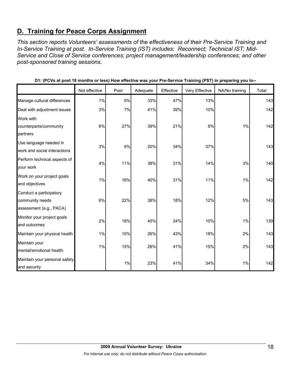# **D. Training for Peace Corps Assignment**

*This section reports Volunteers' assessments of the effectiveness of their Pre-Service Training and In-Service Training at post. In-Service Training (IST) includes: Reconnect; Technical IST; Mid-Service and Close of Service conferences; project management/leadership conferences; and other post-sponsored training sessions.* 

|                                                                       | Not effective | Poor | Adequate | Effective | Very Effective | NA/No training | Total |
|-----------------------------------------------------------------------|---------------|------|----------|-----------|----------------|----------------|-------|
| Manage cultural differences                                           | 1%            | 6%   | 33%      | 47%       | 13%            |                | 143   |
| Deal with adjustment issues                                           | 3%            | 7%   | 41%      | 39%       | 10%            |                | 142   |
| Work with<br>counterparts/community<br>partners                       | 6%            | 27%  | 39%      | 21%       | 6%             | 1%             | 142   |
| Use language needed in<br>work and social interactions                | 3%            | 6%   | 20%      | 34%       | 37%            |                | 143   |
| Perform technical aspects of<br>your work                             | 4%            | 11%  | 38%      | 31%       | 14%            | 3%             | 140   |
| Work on your project goals<br>and objectives                          | 1%            | 16%  | 40%      | 31%       | 11%            | 1%             | 142   |
| Conduct a participatory<br>community needs<br>assessment (e.g., PACA) | 6%            | 22%  | 38%      | 18%       | 12%            | 5%             | 143   |
| Monitor your project goals<br>and outcomes                            | 2%            | 18%  | 45%      | 24%       | 10%            | 1%             | 139   |
| Maintain your physical health                                         | $1\%$         | 10%  | 26%      | 43%       | 18%            | 2%             | 143   |
| Maintain your<br>mental/emotional health                              | 1%            | 15%  | 26%      | 41%       | 15%            | 2%             | 143   |
| Maintain your personal safety<br>and security                         |               | 1%   | 23%      | 41%       | 34%            | 1%             | 142   |

**D1: (PCVs at post 18 months or less) How effective was your Pre-Service Training (PST) in preparing you to--**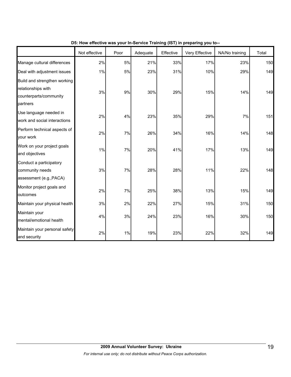|                                                                                          | Not effective | Poor | Adequate | Effective | Very Effective | NA/No training | Total |
|------------------------------------------------------------------------------------------|---------------|------|----------|-----------|----------------|----------------|-------|
| Manage cultural differences                                                              | 2%            | 5%   | 21%      | 33%       | 17%            | 23%            | 150   |
| Deal with adjustment issues                                                              | 1%            | 5%   | 23%      | 31%       | 10%            | 29%            | 149   |
| Build and strengthen working<br>relationships with<br>counterparts/community<br>partners | 3%            | 9%   | 30%      | 29%       | 15%            | 14%            | 149   |
| Use language needed in<br>work and social interactions                                   | 2%            | 4%   | 23%      | 35%       | 29%            | 7%             | 151   |
| Perform technical aspects of<br>your work                                                | 2%            | 7%   | 26%      | 34%       | 16%            | 14%            | 148   |
| Work on your project goals<br>and objectives                                             | 1%            | 7%   | 20%      | 41%       | 17%            | 13%            | 149   |
| Conduct a participatory<br>community needs<br>assessment (e.g., PACA)                    | 3%            | 7%   | 28%      | 28%       | 11%            | 22%            | 148   |
| Monitor project goals and<br>outcomes                                                    | 2%            | 7%   | 25%      | 38%       | 13%            | 15%            | 149   |
| Maintain your physical health                                                            | 3%            | 2%   | 22%      | 27%       | 15%            | 31%            | 150   |
| Maintain your<br>mental/emotional health                                                 | 4%            | 3%   | 24%      | 23%       | 16%            | 30%            | 150   |
| Maintain your personal safety<br>and security                                            | 2%            | 1%   | 19%      | 23%       | 22%            | 32%            | 149   |

**D5: How effective was your In-Service Training (IST) in preparing you to--**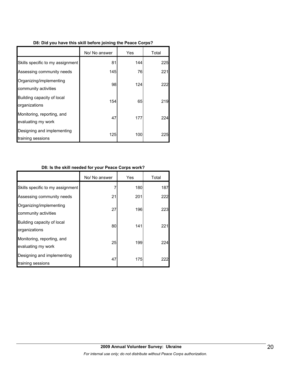| D8: Did you have this skill before joining the Peace Corps? |               |     |    |  |  |  |  |
|-------------------------------------------------------------|---------------|-----|----|--|--|--|--|
|                                                             | No/ No answer | Yes | Тo |  |  |  |  |

Г

ī

|                                                  | No/ No answer | Yes | Total      |
|--------------------------------------------------|---------------|-----|------------|
| Skills specific to my assignment                 | 81            | 144 | 225        |
| Assessing community needs                        | 145           | 76  | 221        |
| Organizing/implementing<br>community activities  | 98            | 124 | 222        |
| Building capacity of local<br>organizations      | 154           | 65  | 219        |
| Monitoring, reporting, and<br>evaluating my work | 47            | 177 | 224        |
| Designing and implementing<br>training sessions  | 125           | 100 | <b>225</b> |

# **D8: Is the skill needed for your Peace Corps work?**

|                                                  | No/ No answer | Yes | Total |
|--------------------------------------------------|---------------|-----|-------|
| Skills specific to my assignment                 | 7             | 180 | 187   |
| Assessing community needs                        | 21            | 201 | 222   |
| Organizing/implementing<br>community activities  | 27            | 196 | 223   |
| Building capacity of local<br>organizations      | 80            | 141 | 221   |
| Monitoring, reporting, and<br>evaluating my work | 25            | 199 | 224   |
| Designing and implementing<br>training sessions  | 47            | 175 | 222   |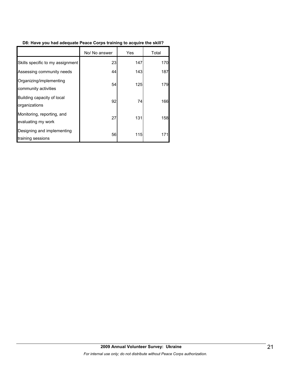# **D8: Have you had adequate Peace Corps training to acquire the skill?**

|                                                  | No/ No answer | Yes | Total |
|--------------------------------------------------|---------------|-----|-------|
| Skills specific to my assignment                 | 23            | 147 | 170   |
| Assessing community needs                        | 44            | 143 | 187   |
| Organizing/implementing<br>community activities  | 54            | 125 | 179   |
| Building capacity of local<br>organizations      | 92            | 74  | 166   |
| Monitoring, reporting, and<br>evaluating my work | 27            | 131 | 158   |
| Designing and implementing<br>training sessions  | 56            | 115 | 171   |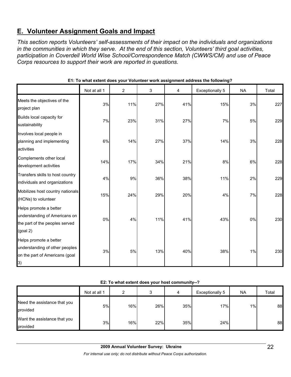# **E. Volunteer Assignment Goals and Impact**

*This section reports Volunteers' self-assessments of their impact on the individuals and organizations in the communities in which they serve. At the end of this section, Volunteers' third goal activities, participation in Coverdell World Wise School/Correspondence Match (CWWS/CM) and use of Peace Corps resources to support their work are reported in questions.* 

|                                                                                                                 | Not at all 1 | 2   | 3   | 4   | Exceptionally 5 | <b>NA</b> | Total |
|-----------------------------------------------------------------------------------------------------------------|--------------|-----|-----|-----|-----------------|-----------|-------|
| Meets the objectives of the<br>project plan                                                                     | 3%           | 11% | 27% | 41% | 15%             | 3%        | 227   |
| Builds local capacity for<br>sustainability                                                                     | 7%           | 23% | 31% | 27% | 7%              | 5%        | 229   |
| Involves local people in<br>planning and implementing<br>activities                                             | 6%           | 14% | 27% | 37% | 14%             | 3%        | 228   |
| Complements other local<br>development activities                                                               | 14%          | 17% | 34% | 21% | 8%              | 6%        | 228   |
| Transfers skills to host country<br>individuals and organizations                                               | 4%           | 9%  | 36% | 38% | 11%             | 2%        | 229   |
| Mobilizes host country nationals<br>(HCNs) to volunteer                                                         | 15%          | 24% | 29% | 20% | 4%              | 7%        | 228   |
| Helps promote a better<br>understanding of Americans on<br>the part of the peoples served<br>(goal 2)           | 0%           | 4%  | 11% | 41% | 43%             | 0%        | 230   |
| Helps promote a better<br>understanding of other peoples<br>on the part of Americans (goal<br>$\left( 3\right)$ | 3%           | 5%  | 13% | 40% | 38%             | $1\%$     | 230   |

**E1: To what extent does your Volunteer work assignment address the following?**

| E2: To what extent does your host community--? |  |  |
|------------------------------------------------|--|--|
|------------------------------------------------|--|--|

|                                          | Not at all 1 | ົ   | 3   | 4   | Exceptionally 5 | <b>NA</b> | Total |
|------------------------------------------|--------------|-----|-----|-----|-----------------|-----------|-------|
| Need the assistance that you<br>provided | 5%           | 16% | 26% | 35% | 17%             | $1\%$     | 88    |
| Want the assistance that you<br>provided | 3%           | 16% | 22% | 35% | 24%             |           | 88    |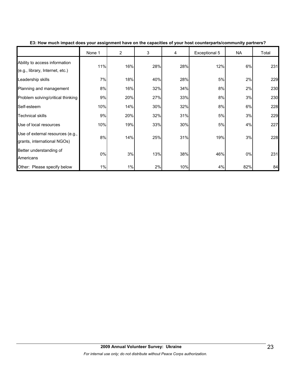|                                                                  | None 1 | $\overline{2}$ | 3   | 4   | Exceptional 5 | <b>NA</b> | Total |
|------------------------------------------------------------------|--------|----------------|-----|-----|---------------|-----------|-------|
| Ability to access information<br>(e.g., library, Internet, etc.) | 11%    | 16%            | 28% | 28% | 12%           | 6%        | 231   |
| Leadership skills                                                | 7%     | 18%            | 40% | 28% | 5%            | 2%        | 229   |
| Planning and management                                          | 8%     | 16%            | 32% | 34% | 8%            | 2%        | 230   |
| Problem solving/critical thinking                                | 9%     | 20%            | 27% | 33% | 8%            | 3%        | 230   |
| Self-esteem                                                      | 10%    | 14%            | 30% | 32% | 8%            | 6%        | 228   |
| <b>Technical skills</b>                                          | 9%     | 20%            | 32% | 31% | 5%            | 3%        | 229   |
| Use of local resources                                           | 10%    | 19%            | 33% | 30% | 5%            | 4%        | 227   |
| Use of external resources (e.g.,<br>grants, international NGOs)  | 8%     | 14%            | 25% | 31% | 19%           | 3%        | 228   |
| Better understanding of<br>Americans                             | 0%     | 3%             | 13% | 38% | 46%           | $0\%$     | 231   |
| Other: Please specify below                                      | 1%     | 1%             | 2%  | 10% | 4%            | 82%       | 84    |

**E3: How much impact does your assignment have on the capacities of your host counterparts/community partners?**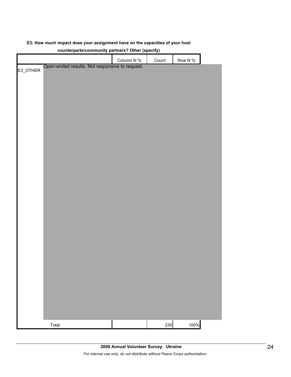#### **E3: How much impact does your assignment have on the capacities of your host**

| counterparts/community partners? Other (specify) |                                                |  |            |       |            |  |  |
|--------------------------------------------------|------------------------------------------------|--|------------|-------|------------|--|--|
|                                                  |                                                |  | Column N % | Count | Row N $\%$ |  |  |
|                                                  | Open-ended results. Not responsive to request. |  |            |       |            |  |  |
| E3_OTHER                                         |                                                |  |            |       |            |  |  |
|                                                  |                                                |  |            |       |            |  |  |
|                                                  |                                                |  |            |       |            |  |  |
|                                                  |                                                |  |            |       |            |  |  |
|                                                  |                                                |  |            |       |            |  |  |
|                                                  |                                                |  |            |       |            |  |  |
|                                                  |                                                |  |            |       |            |  |  |
|                                                  |                                                |  |            |       |            |  |  |
|                                                  |                                                |  |            |       |            |  |  |
|                                                  |                                                |  |            |       |            |  |  |
|                                                  |                                                |  |            |       |            |  |  |
|                                                  |                                                |  |            |       |            |  |  |
|                                                  |                                                |  |            |       |            |  |  |
|                                                  |                                                |  |            |       |            |  |  |
|                                                  |                                                |  |            |       |            |  |  |
|                                                  |                                                |  |            |       |            |  |  |
|                                                  |                                                |  |            |       |            |  |  |
|                                                  |                                                |  |            |       |            |  |  |
|                                                  |                                                |  |            |       |            |  |  |
|                                                  |                                                |  |            |       |            |  |  |
|                                                  |                                                |  |            |       |            |  |  |
|                                                  |                                                |  |            |       |            |  |  |
|                                                  |                                                |  |            |       |            |  |  |
|                                                  |                                                |  |            |       |            |  |  |
|                                                  |                                                |  |            |       |            |  |  |
|                                                  |                                                |  |            |       |            |  |  |
|                                                  |                                                |  |            |       |            |  |  |
|                                                  |                                                |  |            |       |            |  |  |
|                                                  |                                                |  |            |       |            |  |  |
|                                                  |                                                |  |            |       |            |  |  |
|                                                  |                                                |  |            |       |            |  |  |
|                                                  |                                                |  |            |       |            |  |  |
|                                                  |                                                |  |            |       |            |  |  |
|                                                  |                                                |  |            |       |            |  |  |
|                                                  |                                                |  |            |       |            |  |  |
|                                                  |                                                |  |            |       |            |  |  |
|                                                  |                                                |  |            |       |            |  |  |
|                                                  |                                                |  |            |       |            |  |  |
|                                                  |                                                |  |            |       |            |  |  |
|                                                  |                                                |  |            |       |            |  |  |
|                                                  |                                                |  |            |       |            |  |  |
|                                                  |                                                |  |            |       |            |  |  |
|                                                  | Total                                          |  |            | 235   | 100%       |  |  |

# **counterparts/community partners? Other (specify)**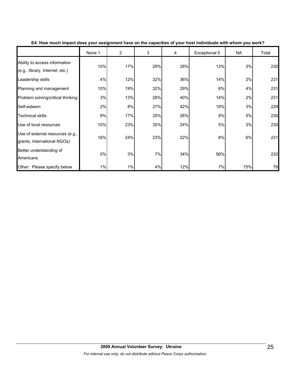|                                                                  | None 1 | $\overline{2}$ | 3   | 4   | Exceptional 5 | <b>NA</b> | Total |
|------------------------------------------------------------------|--------|----------------|-----|-----|---------------|-----------|-------|
| Ability to access information<br>(e.g., library, Internet, etc.) | 10%    | 17%            | 29% | 28% | 13%           | 3%        | 230   |
| Leadership skills                                                | 4%     | 12%            | 32% | 36% | 14%           | 2%        | 231   |
| Planning and management                                          | 10%    | 19%            | 32% | 29% | 6%            | 4%        | 231   |
| Problem solving/critical thinking                                | 3%     | 13%            | 28% | 40% | 14%           | 2%        | 231   |
| Self-esteem                                                      | 2%     | 8%             | 27% | 42% | 19%           | 3%        | 229   |
| <b>Technical skills</b>                                          | 9%     | 17%            | 35% | 26% | 9%            | 5%        | 230   |
| Use of local resources                                           | 10%    | 23%            | 35% | 24% | 5%            | 3%        | 230   |
| Use of external resources (e.g.,<br>grants, international NGOs)  | 16%    | 24%            | 23% | 22% | 8%            | 6%        | 231   |
| Better understanding of<br>Americans                             | 0%     | 3%             | 7%  | 34% | 56%           |           | 232   |
| Other: Please specify below                                      | 1%     | 1%             | 4%  | 12% | 7%            | 75%       | 76    |

**E4: How much impact does your assignment have on the capacities of your host individuals with whom you work?**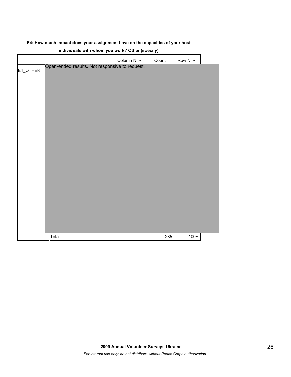## **E4: How much impact does your assignment have on the capacities of your host**

|          |                                                | $m_{11}$ , $m_{21}$ , $m_{31}$ , $m_{41}$ , $m_{41}$ , $m_{41}$ , $m_{41}$ , $m_{41}$ , $m_{41}$ , $m_{41}$ , $m_{41}$ , $m_{41}$ , $m_{41}$ , $m_{41}$ , $m_{41}$ , $m_{41}$ , $m_{41}$ , $m_{41}$ , $m_{41}$ , $m_{41}$ , $m_{41}$ , $m_{41}$ , $m_{41}$ , $m_{41}$ , $m_{41$<br>Column N % | Count | Row N % |  |
|----------|------------------------------------------------|-----------------------------------------------------------------------------------------------------------------------------------------------------------------------------------------------------------------------------------------------------------------------------------------------|-------|---------|--|
|          | Open-ended results. Not responsive to request. |                                                                                                                                                                                                                                                                                               |       |         |  |
| E4_OTHER |                                                |                                                                                                                                                                                                                                                                                               |       |         |  |
|          |                                                |                                                                                                                                                                                                                                                                                               |       |         |  |
|          |                                                |                                                                                                                                                                                                                                                                                               |       |         |  |
|          |                                                |                                                                                                                                                                                                                                                                                               |       |         |  |
|          |                                                |                                                                                                                                                                                                                                                                                               |       |         |  |
|          |                                                |                                                                                                                                                                                                                                                                                               |       |         |  |
|          |                                                |                                                                                                                                                                                                                                                                                               |       |         |  |
|          |                                                |                                                                                                                                                                                                                                                                                               |       |         |  |
|          |                                                |                                                                                                                                                                                                                                                                                               |       |         |  |
|          |                                                |                                                                                                                                                                                                                                                                                               |       |         |  |
|          |                                                |                                                                                                                                                                                                                                                                                               |       |         |  |
|          |                                                |                                                                                                                                                                                                                                                                                               |       |         |  |
|          |                                                |                                                                                                                                                                                                                                                                                               |       |         |  |
|          |                                                |                                                                                                                                                                                                                                                                                               |       |         |  |
|          |                                                |                                                                                                                                                                                                                                                                                               |       |         |  |
|          |                                                |                                                                                                                                                                                                                                                                                               |       |         |  |
|          |                                                |                                                                                                                                                                                                                                                                                               |       |         |  |
|          |                                                |                                                                                                                                                                                                                                                                                               |       |         |  |
|          |                                                |                                                                                                                                                                                                                                                                                               |       |         |  |
|          |                                                |                                                                                                                                                                                                                                                                                               |       |         |  |
|          |                                                |                                                                                                                                                                                                                                                                                               |       |         |  |
|          |                                                |                                                                                                                                                                                                                                                                                               |       |         |  |
|          |                                                |                                                                                                                                                                                                                                                                                               |       |         |  |
|          |                                                |                                                                                                                                                                                                                                                                                               |       |         |  |
|          | Total                                          |                                                                                                                                                                                                                                                                                               | 235   | 100%    |  |

#### **individuals with whom you work? Other (specify)**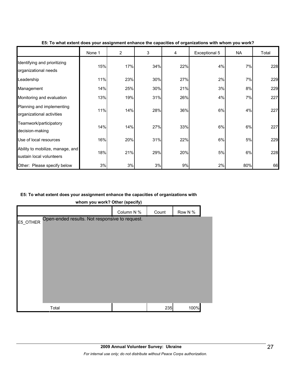|                                                              | None 1 | $\overline{2}$ | 3   | 4   | Exceptional 5 | <b>NA</b> | Total |
|--------------------------------------------------------------|--------|----------------|-----|-----|---------------|-----------|-------|
| Identifying and prioritizing<br>organizational needs         | 15%    | 17%            | 34% | 22% | 4%            | 7%        | 228   |
| Leadership                                                   | 11%    | 23%            | 30% | 27% | 2%            | 7%        | 229   |
| Management                                                   | 14%    | 25%            | 30% | 21% | 3%            | 8%        | 229   |
| Monitoring and evaluation                                    | 13%    | 19%            | 31% | 26% | 4%            | 7%        | 227   |
| Planning and implementing<br>organizational activities       | 11%    | 14%            | 28% | 36% | 6%            | 4%        | 227   |
| Teamwork/participatory<br>decision-making                    | 14%    | 14%            | 27% | 33% | 6%            | 6%        | 227   |
| Use of local resources                                       | 16%    | 20%            | 31% | 22% | 6%            | 5%        | 229   |
| Ability to mobilize, manage, and<br>sustain local volunteers | 18%    | 21%            | 29% | 20% | 5%            | 6%        | 228   |
| Other: Please specify below                                  | 3%     | 3%             | 3%  | 9%  | 2%            | 80%       | 66    |

#### **E5: To what extent does your assignment enhance the capacities of organizations with whom you work?**

## **E5: To what extent does your assignment enhance the capacities of organizations with**

**whom you work? Other (specify)**

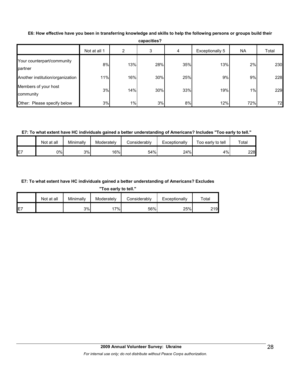| <b>capacities?</b>                    |              |     |     |     |                 |           |       |  |
|---------------------------------------|--------------|-----|-----|-----|-----------------|-----------|-------|--|
|                                       | Not at all 1 | າ   | 3   | 4   | Exceptionally 5 | <b>NA</b> | Total |  |
| Your counterpart/community<br>partner | 8%           | 13% | 28% | 35% | 13%             | 2%        | 230   |  |
| Another institution/organization      | 11%          | 16% | 30% | 25% | 9%              | 9%        | 228   |  |
| Members of your host<br>community     | 3%           | 14% | 30% | 33% | 19%             | 1%        | 229   |  |
| Other: Please specify below           | 3%           | 1%  | 3%  | 8%  | 12%             | 72%       | 72    |  |

**E6: How effective have you been in transferring knowledge and skills to help the following persons or groups build their** 

**capacities?**

## **E7: To what extent have HC individuals gained a better understanding of Americans? Includes "Too early to tell."**

|    | Not at all | Minimally | Moderately | Considerably | Exceptionally | Too early to tell | Total |
|----|------------|-----------|------------|--------------|---------------|-------------------|-------|
| E7 | 0%l        | 3%        | 16%        | 54%          | 24%           | 4%                | 228   |

## **E7: To what extent have HC individuals gained a better understanding of Americans? Excludes**

**"Too early to tell."**

|     | Not at all | Minimally | Moderately | Considerably | Exceptionally | Total |
|-----|------------|-----------|------------|--------------|---------------|-------|
| IE7 |            | 3%        | 7%         | 56%          | 25%           | 219   |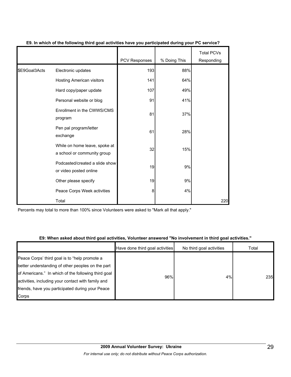|               |                                                              | PCV Responses | % Doing This | <b>Total PCVs</b><br>Responding |
|---------------|--------------------------------------------------------------|---------------|--------------|---------------------------------|
|               |                                                              |               |              |                                 |
| \$E9Goal3Acts | Electronic updates                                           | 193           | 88%          |                                 |
|               | Hosting American visitors                                    | 141           | 64%          |                                 |
|               | Hard copy/paper update                                       | 107           | 49%          |                                 |
|               | Personal website or blog                                     | 91            | 41%          |                                 |
|               | Enrollment in the CWWS/CMS<br>program                        | 81            | 37%          |                                 |
|               | Pen pal program/letter<br>exchange                           | 61            | 28%          |                                 |
|               | While on home leave, spoke at<br>a school or community group | 32            | 15%          |                                 |
|               | Podcasted/created a slide show<br>or video posted online     | 19            | 9%           |                                 |
|               | Other please specify                                         | 19            | 9%           |                                 |
|               | Peace Corps Week activities                                  | 8             | 4%           |                                 |
|               | Total                                                        |               |              | 220                             |

## **E9. In which of the following third goal activities have you participated during your PC service?**

Percents may total to more than 100% since Volunteers were asked to "Mark all that apply."

## **E9: When asked about third goal activities, Volunteer answered "No involvement in third goal activities."**

|                                                                                                           | Have done third goal activities | No third goal activities | Total |
|-----------------------------------------------------------------------------------------------------------|---------------------------------|--------------------------|-------|
| Peace Corps' third goal is to "help promote a<br>better understanding of other peoples on the part        |                                 |                          |       |
| of Americans." In which of the following third goal<br>activities, including your contact with family and | 96%                             | 4%                       | 235   |
| friends, have you participated during your Peace                                                          |                                 |                          |       |
| Corps                                                                                                     |                                 |                          |       |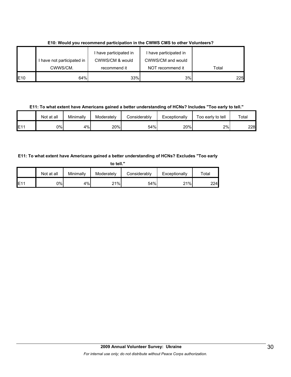|                 |                                        | I have participated in          | I have participated in                |       |
|-----------------|----------------------------------------|---------------------------------|---------------------------------------|-------|
|                 | I have not participated in<br>CWWS/CM. | CWWS/CM & would<br>recommend it | CWWS/CM and would<br>NOT recommend it | Total |
| E <sub>10</sub> | 64%                                    | 33%                             | 3%                                    | 225   |

**E10: Would you recommend participation in the CWWS CMS to other Volunteers?**

**E11: To what extent have Americans gained a better understanding of HCNs? Includes "Too early to tell."**

|     | Not at all | Minimallv | Moderately | Considerably | Exceptionally | -<br>Too early to tell | $\tau$ otal |
|-----|------------|-----------|------------|--------------|---------------|------------------------|-------------|
| E11 | 0%l        | 4%        | 20%        | 54%          | 20%           | 2%                     | 228         |

# **E11: To what extent have Americans gained a better understanding of HCNs? Excludes "Too early**

| to tell." |            |           |            |              |               |       |  |
|-----------|------------|-----------|------------|--------------|---------------|-------|--|
|           | Not at all | Minimally | Moderately | Considerably | Exceptionally | Total |  |
| E11       | 0%         | 4%        | 21%        | 54%          | 21%           | 224   |  |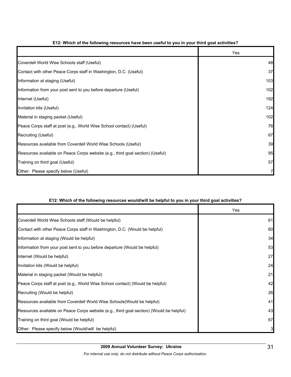|                                                                                | Yes |
|--------------------------------------------------------------------------------|-----|
| Coverdell World Wise Schools staff (Useful)                                    | 48  |
| Contact with other Peace Corps staff in Washington, D.C. (Useful)              | 37  |
| Information at staging (Useful)                                                | 103 |
| Information from your post sent to you before departure (Useful)               | 102 |
| Internet (Useful)                                                              | 192 |
| Invitation kits (Useful)                                                       | 124 |
| Material in staging packet (Useful)                                            | 102 |
| Peace Corps staff at post (e.g., World Wise School contact) (Useful)           | 76  |
| Recruiting (Useful)                                                            | 67  |
| Resources available from Coverdell World Wise Schools (Useful)                 | 39  |
| Resources available on Peace Corps website (e.g., third goal section) (Useful) | 95  |
| Training on third goal (Useful)                                                | 57  |
| Other: Please specify below (Useful)                                           |     |

## **E12: Which of the following resources have been useful to you in your third goal activities?**

## **E12: Which of the following resources would/will be helpful to you in your third goal activities?**

|                                                                                          | Yes |
|------------------------------------------------------------------------------------------|-----|
| Coverdell World Wise Schools staff (Would be helpful)                                    | 61  |
| Contact with other Peace Corps staff in Washington, D.C. (Would be helpful)              | 60  |
| Information at staging (Would be helpful)                                                | 34  |
| Information from your post sent to you before departure (Would be helpful)               | 53  |
| Internet (Would be helpful)                                                              | 27  |
| Invitation kits (Would be helpful)                                                       | 24  |
| Material in staging packet (Would be helpful)                                            | 21  |
| Peace Corps staff at post (e.g., World Wise School contact) (Would be helpful)           | 42  |
| Recruiting (Would be helpful)                                                            | 26  |
| Resources available from Coverdell World Wise Schools (Would be helpful)                 | 41  |
| Resources available on Peace Corps website (e.g., third goal section) (Would be helpful) | 43  |
| Training on third goal (Would be helpful)                                                | 67  |
| Other: Please specify below (Would/will be helpful)                                      | 3   |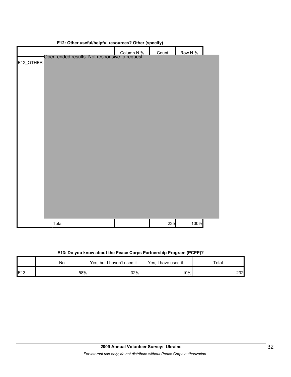| E12: Other useful/neipful resources? Other (specify)         |  |       |         |  |  |  |  |
|--------------------------------------------------------------|--|-------|---------|--|--|--|--|
|                                                              |  | Count | Row N % |  |  |  |  |
| Column N %<br>Open-ended results. Not responsive to request. |  |       |         |  |  |  |  |
| E12_OTHER                                                    |  |       |         |  |  |  |  |
|                                                              |  |       |         |  |  |  |  |
|                                                              |  |       |         |  |  |  |  |
|                                                              |  |       |         |  |  |  |  |
|                                                              |  |       |         |  |  |  |  |
|                                                              |  |       |         |  |  |  |  |
|                                                              |  |       |         |  |  |  |  |
|                                                              |  |       |         |  |  |  |  |
|                                                              |  |       |         |  |  |  |  |
|                                                              |  |       |         |  |  |  |  |
|                                                              |  |       |         |  |  |  |  |
|                                                              |  |       |         |  |  |  |  |
|                                                              |  |       |         |  |  |  |  |
|                                                              |  |       |         |  |  |  |  |
|                                                              |  |       |         |  |  |  |  |
|                                                              |  |       |         |  |  |  |  |
|                                                              |  |       |         |  |  |  |  |
|                                                              |  |       |         |  |  |  |  |
|                                                              |  |       |         |  |  |  |  |
|                                                              |  |       |         |  |  |  |  |
|                                                              |  |       |         |  |  |  |  |
|                                                              |  |       |         |  |  |  |  |
|                                                              |  |       |         |  |  |  |  |
|                                                              |  |       |         |  |  |  |  |
|                                                              |  |       |         |  |  |  |  |
|                                                              |  |       |         |  |  |  |  |
|                                                              |  |       |         |  |  |  |  |
|                                                              |  |       |         |  |  |  |  |
|                                                              |  |       |         |  |  |  |  |
| Total                                                        |  | 235   | 100%    |  |  |  |  |
|                                                              |  |       |         |  |  |  |  |

## **E12: Other useful/helpful resources? Other (specify)**

|  |  | E13: Do you know about the Peace Corps Partnership Program (PCPP)? |  |
|--|--|--------------------------------------------------------------------|--|
|  |  |                                                                    |  |

|     | No  | Yes, but I haven't used it. | Yes, I have used it. | Total |  |
|-----|-----|-----------------------------|----------------------|-------|--|
| E13 | 58% | 32%                         | 10%                  | 232   |  |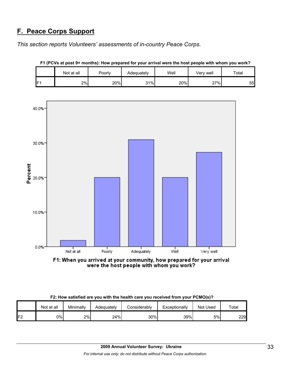# **F. Peace Corps Support**

*This section reports Volunteers' assessments of in-country Peace Corps.* 

|                 | Not at all | ⊃oorly | Adequately | Well | Verv well | Total |
|-----------------|------------|--------|------------|------|-----------|-------|
| IF <sub>1</sub> | 2%         | 20%    | 31%        | 20%  | 27%       | 55    |





F1: When you arrived at your community, how prepared for your arrival<br>were the host people with whom you work?

|  | F2: How satisfied are you with the health care you received from your PCMO(s)? |  |
|--|--------------------------------------------------------------------------------|--|
|  |                                                                                |  |

|     | Not at all | Minimally | Adeguatelv | <b>Considerably</b> | Exceptionally | <b>Not Used</b> | Total |
|-----|------------|-----------|------------|---------------------|---------------|-----------------|-------|
| IF2 | 0%         | 2%        | 24%        | 30%                 | 39%           | 5%              | 229   |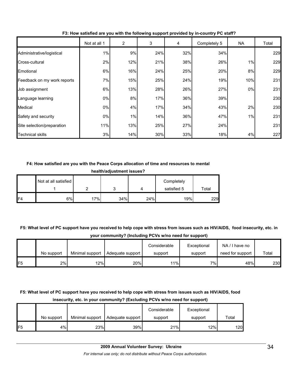|                             | Not at all 1 | 2   | 3   | 4   | Completely 5 | <b>NA</b> | Total |
|-----------------------------|--------------|-----|-----|-----|--------------|-----------|-------|
| Administrative/logistical   | 1%           | 9%  | 24% | 32% | 34%          |           | 229   |
| Cross-cultural              | 2%           | 12% | 21% | 38% | 26%          | 1%        | 229   |
| Emotional                   | 6%           | 16% | 24% | 25% | 20%          | 8%        | 229   |
| Feedback on my work reports | 7%           | 15% | 25% | 24% | 19%          | 10%       | 231   |
| Job assignment              | 6%           | 13% | 28% | 26% | 27%          | 0%        | 231   |
| Language learning           | $0\%$        | 8%  | 17% | 36% | 39%          |           | 230   |
| Medical                     | $0\%$        | 4%  | 17% | 34% | 43%          | 2%        | 230   |
| Safety and security         | 0%           | 1%  | 14% | 36% | 47%          | 1%        | 231   |
| Site selection/preparation  | 11%          | 13% | 25% | 27% | 24%          |           | 231   |
| Technical skills            | 3%           | 14% | 30% | 33% | 18%          | 4%        | 227   |

**F3: How satisfied are you with the following support provided by in-country PC staff?**

## **F4: How satisfied are you with the Peace Corps allocation of time and resources to mental**

| health/adjustment issues? |  |
|---------------------------|--|
|---------------------------|--|

|                | Not at all satisfied |     |     |     | Completely  |       |
|----------------|----------------------|-----|-----|-----|-------------|-------|
|                |                      |     | ັ   |     | satisfied 5 | Total |
| F <sub>4</sub> | 6%                   | 17% | 34% | 24% | 19%         | 229   |

**F5: What level of PC support have you received to help cope with stress from issues such as HIV/AIDS, food insecurity, etc. in your community? (Including PCVs w/no need for support)**

|                 |            |                 |                  | Considerable | Exceptional | NA/I have no     |       |
|-----------------|------------|-----------------|------------------|--------------|-------------|------------------|-------|
|                 | No support | Minimal support | Adequate support | support      | support     | need for support | Total |
| IF <sub>5</sub> | 2%         | 12%             | 20%              | 11%          | 7%          | 48%              | 230   |

# **F5: What level of PC support have you received to help cope with stress from issues such as HIV/AIDS, food insecurity, etc. in your community? (Excluding PCVs w/no need for support)**

|                 |            |                 |                  | Considerable | Exceptional |       |
|-----------------|------------|-----------------|------------------|--------------|-------------|-------|
|                 | No support | Minimal support | Adequate support | support      | support     | Total |
| IF <sub>5</sub> | 4%         | 23%             | 39%              | 21%          | 12%         | 120   |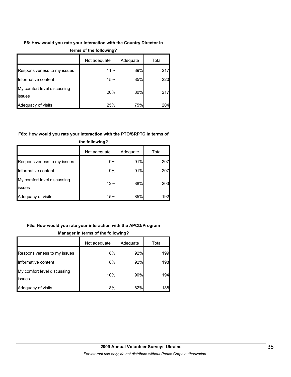## **F6: How would you rate your interaction with the Country Director in**

|                                              | Not adequate | Adequate | Total |
|----------------------------------------------|--------------|----------|-------|
| Responsiveness to my issues                  | 11%          | 89%      | 217   |
| Informative content                          | 15%          | 85%      | 220   |
| My comfort level discussing<br><b>issues</b> | 20%          | 80%      | 217   |
| Adequacy of visits                           | 25%          | 75%      | 204   |

#### **terms of the following?**

#### **F6b: How would you rate your interaction with the PTO/SRPTC in terms of**

| the following?                        |              |          |       |  |  |
|---------------------------------------|--------------|----------|-------|--|--|
|                                       | Not adequate | Adequate | Total |  |  |
| Responsiveness to my issues           | 9%           | 91%      | 207   |  |  |
| Informative content                   | 9%           | 91%      | 207   |  |  |
| My comfort level discussing<br>issues | 12%          | 88%      | 203   |  |  |
| Adequacy of visits                    | 15%          | 85%      | 192   |  |  |

# **F6c: How would you rate your interaction with the APCD/Program**

# Not adequate | Adequate | Total Responsiveness to my issues  $\begin{array}{ccc} 8\% & 8\% & 92\% \end{array}$  199 Informative content 198 My comfort level discussing issues 10% 90% 194 Adequacy of visits **18%** 18% 82% 188

## **Manager in terms of the following?**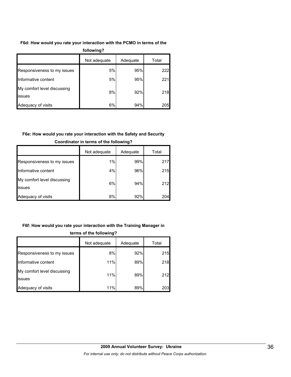# **F6d: How would you rate your interaction with the PCMO in terms of the**

| following?                            |              |          |       |  |  |
|---------------------------------------|--------------|----------|-------|--|--|
|                                       | Not adequate | Adequate | Total |  |  |
| Responsiveness to my issues           | 5%           | 95%      | 222   |  |  |
| Informative content                   | 5%           | 95%      | 221   |  |  |
| My comfort level discussing<br>issues | 8%           | 92%      | 218   |  |  |
| Adequacy of visits                    | 6%           | 94%      | 205   |  |  |

# **F6e: How would you rate your interaction with the Safety and Security**

|                                       | Not adequate | Adequate | Total |
|---------------------------------------|--------------|----------|-------|
| Responsiveness to my issues           | 1%           | 99%      | 217   |
| Informative content                   | 4%           | 96%      | 215   |
| My comfort level discussing<br>issues | 6%           | 94%      | 212   |
| Adequacy of visits                    | 8%           | 92%      | 204   |

## **Coordinator in terms of the following?**

# **F6f: How would you rate your interaction with the Training Manager in**

| terms of the following?                       |              |          |       |  |  |
|-----------------------------------------------|--------------|----------|-------|--|--|
|                                               | Not adequate | Adequate | Total |  |  |
| Responsiveness to my issues                   | 8%           | 92%      | 215   |  |  |
| Informative content                           | 11%          | 89%      | 218   |  |  |
| My comfort level discussing<br><b>lissues</b> | 11%          | 89%      | 212   |  |  |
| Adequacy of visits                            | 11%          | 89%      | 203   |  |  |

# **2009 Annual Volunteer Survey: Ukraine**  *For internal use only; do not distribute without Peace Corps authorization.*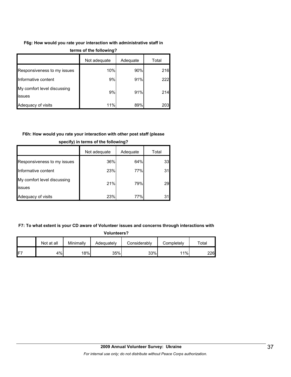## **F6g: How would you rate your interaction with administrative staff in**

|                                              | Not adequate | Adequate | Total |
|----------------------------------------------|--------------|----------|-------|
| Responsiveness to my issues                  | 10%          | 90%      | 216   |
| Informative content                          | 9%           | 91%      | 222   |
| My comfort level discussing<br><b>issues</b> | 9%           | 91%      | 214   |
| Adequacy of visits                           | 11%          | 89%      | 203   |

#### **terms of the following?**

# **F6h: How would you rate your interaction with other post staff (please**

|                                       | Not adequate | Adequate | Total |
|---------------------------------------|--------------|----------|-------|
| Responsiveness to my issues           | 36%          | 64%      | 33    |
| Informative content                   | 23%          | 77%      | 31    |
| My comfort level discussing<br>issues | 21%          | 79%      | 29    |
| Adequacy of visits                    | 23%          | 77%      |       |

### **specify) in terms of the following?**

#### **F7: To what extent is your CD aware of Volunteer issues and concerns through interactions with**

| <b>Volunteers?</b> |  |  |  |  |
|--------------------|--|--|--|--|
|--------------------|--|--|--|--|

|                 | Not at all | Minimallv | Adequately | Considerably | Completelv | ™ota⊧ |
|-----------------|------------|-----------|------------|--------------|------------|-------|
| IF <sub>7</sub> | 4%         | 18%       | 35%        | 33%          | 11%        | 226   |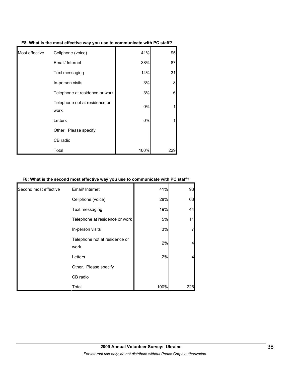| Most effective | Cellphone (voice)                     | 41%  | 95  |
|----------------|---------------------------------------|------|-----|
|                | Email/ Internet                       | 38%  | 87  |
|                | Text messaging                        | 14%  | 31  |
|                | In-person visits                      | 3%   | 8   |
|                | Telephone at residence or work        | 3%   | 6   |
|                | Telephone not at residence or<br>work | 0%   |     |
|                | Letters                               | 0%   |     |
|                | Other. Please specify                 |      |     |
|                | CB radio                              |      |     |
|                | Total                                 | 100% | 229 |

**F8: What is the most effective way you use to communicate with PC staff?**

#### **F8: What is the second most effective way you use to communicate with PC staff?**

| Second most effective | Email/ Internet                       | 41%  | 93  |
|-----------------------|---------------------------------------|------|-----|
|                       | Cellphone (voice)                     | 28%  | 63  |
|                       | Text messaging                        | 19%  | 44  |
|                       | Telephone at residence or work        | 5%   | 11  |
|                       | In-person visits                      | 3%   |     |
|                       | Telephone not at residence or<br>work | 2%   |     |
|                       | Letters                               | 2%   |     |
|                       | Other. Please specify                 |      |     |
|                       | CB radio                              |      |     |
|                       | Total                                 | 100% | 226 |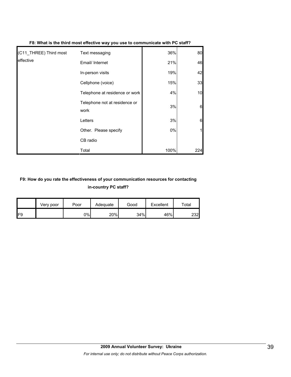| (C11 THREE) Third most | Text messaging                        | 36%  | 80  |
|------------------------|---------------------------------------|------|-----|
| leffective             | Email/ Internet                       | 21%  | 46  |
|                        | In-person visits                      | 19%  | 42  |
|                        | Cellphone (voice)                     | 15%  | 33  |
|                        | Telephone at residence or work        | 4%   | 10  |
|                        | Telephone not at residence or<br>work | 3%   | 6   |
|                        | Letters                               | 3%   | 6   |
|                        | Other. Please specify                 | 0%   |     |
|                        | CB radio                              |      |     |
|                        | Total                                 | 100% | 224 |

## **F8: What is the third most effective way you use to communicate with PC staff?**

# **F9: How do you rate the effectiveness of your communication resources for contacting in-country PC staff?**

|     | Very poor | Poor | Adequate | Good | Excellent | Total |
|-----|-----------|------|----------|------|-----------|-------|
| IF9 |           | 0%   | 20%      | 34%  | 46%       | 232   |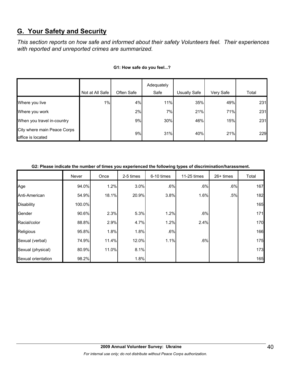# **G. Your Safety and Security**

*This section reports on how safe and informed about their safety Volunteers feel. Their experiences with reported and unreported crimes are summarized.* 

|                                                  |                 |            | Adequately |              |           |       |
|--------------------------------------------------|-----------------|------------|------------|--------------|-----------|-------|
|                                                  | Not at All Safe | Often Safe | Safe       | Usually Safe | Very Safe | Total |
| Where you live                                   | 1%              | 4%         | 11%        | 35%          | 49%       | 231   |
| Where you work                                   |                 | 2%         | 7%         | 21%          | 71%       | 231   |
| When you travel in-country                       |                 | 9%         | 30%        | 46%          | 15%       | 231   |
| City where main Peace Corps<br>office is located |                 | 9%         | 31%        | 40%          | 21%       | 229   |

#### **G1: How safe do you feel...?**

| G2: Please indicate the number of times you experienced the following types of discrimination/harassment. |  |
|-----------------------------------------------------------------------------------------------------------|--|
|                                                                                                           |  |

|                    | Never  | Once  | 2-5 times | 6-10 times | 11-25 times | 26+ times | Total |
|--------------------|--------|-------|-----------|------------|-------------|-----------|-------|
| Age                | 94.0%  | 1.2%  | 3.0%      | .6%        | .6%         | .6%       | 167   |
| Anti-American      | 54.9%  | 18.1% | 20.9%     | 3.8%       | 1.6%        | .5%       | 182   |
| <b>Disability</b>  | 100.0% |       |           |            |             |           | 165   |
| Gender             | 90.6%  | 2.3%  | 5.3%      | 1.2%       | .6%         |           | 171   |
| Racial/color       | 88.8%  | 2.9%  | 4.7%      | 1.2%       | 2.4%        |           | 170   |
| Religious          | 95.8%  | 1.8%  | 1.8%      | .6%        |             |           | 166   |
| Sexual (verbal)    | 74.9%  | 11.4% | 12.0%     | 1.1%       | .6%         |           | 175   |
| Sexual (physical)  | 80.9%  | 11.0% | 8.1%      |            |             |           | 173   |
| Sexual orientation | 98.2%  |       | 1.8%      |            |             |           | 165   |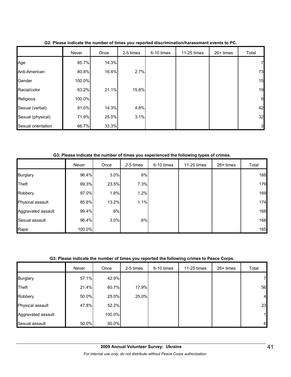|                    | Never  | Once  | 2-5 times | 6-10 times | 11-25 times | 26+ times | Total           |
|--------------------|--------|-------|-----------|------------|-------------|-----------|-----------------|
| Age                | 85.7%  | 14.3% |           |            |             |           | 7 <sub>l</sub>  |
| Anti-American      | 80.8%  | 16.4% | 2.7%      |            |             |           | 73              |
| Gender             | 100.0% |       |           |            |             |           | 15              |
| Racial/color       | 63.2%  | 21.1% | 15.8%     |            |             |           | 19              |
| Religious          | 100.0% |       |           |            |             |           | $6\phantom{.}6$ |
| Sexual (verbal)    | 81.0%  | 14.3% | 4.8%      |            |             |           | 42              |
| Sexual (physical)  | 71.9%  | 25.0% | 3.1%      |            |             |           | 32              |
| Sexual orientation | 66.7%  | 33.3% |           |            |             |           | 3               |

**G2: Please indicate the number of times you reported discrimination/harassment events to PC.**

**G3: Please indicate the number of times you experienced the following types of crimes.**

|                    | Never  | Once  | 2-5 times | 6-10 times | 11-25 times | 26+ times | Total |
|--------------------|--------|-------|-----------|------------|-------------|-----------|-------|
| <b>Burglary</b>    | 96.4%  | 3.0%  | .6%       |            |             |           | 168   |
| <b>Theft</b>       | 69.3%  | 23.5% | 7.3%      |            |             |           | 179   |
| Robbery            | 97.0%  | 1.8%  | 1.2%      |            |             |           | 169   |
| Physical assault   | 85.6%  | 13.2% | 1.1%      |            |             |           | 174   |
| Aggravated assault | 99.4%  | .6%   |           |            |             |           | 168   |
| Sexual assault     | 96.4%  | 3.0%  | .6%       |            |             |           | 168   |
| Rape               | 100.0% |       |           |            |             |           | 165   |

# **G3: Please indicate the number of times you reported the following crimes to Peace Corps.**

|                    | Never | Once   | 2-5 times | 6-10 times | 11-25 times | 26+ times | Total          |
|--------------------|-------|--------|-----------|------------|-------------|-----------|----------------|
| <b>Burglary</b>    | 57.1% | 42.9%  |           |            |             |           | 71             |
| Theft              | 21.4% | 60.7%  | 17.9%     |            |             |           | 56             |
| Robbery            | 50.0% | 25.0%  | 25.0%     |            |             |           | $\overline{4}$ |
| Physical assault   | 47.8% | 52.2%  |           |            |             |           | 23             |
| Aggravated assault |       | 100.0% |           |            |             |           | $\mathbf{1}$   |
| Sexual assault     | 50.0% | 50.0%  |           |            |             |           | 6              |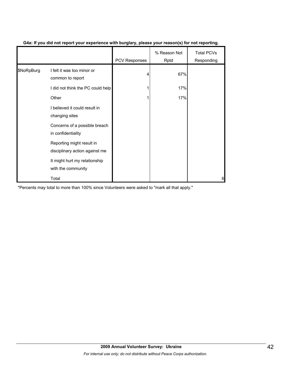|            |                                                             | <b>PCV Responses</b> | % Reason Not<br>Rptd | <b>Total PCVs</b><br>Responding |
|------------|-------------------------------------------------------------|----------------------|----------------------|---------------------------------|
| \$NoRpBurg | I felt it was too minor or<br>common to report              | 4                    | 67%                  |                                 |
|            | I did not think the PC could help                           |                      | 17%                  |                                 |
|            | Other                                                       |                      | 17%                  |                                 |
|            | I believed it could result in<br>changing sites             |                      |                      |                                 |
|            | Concerns of a possible breach<br>in confidentiality         |                      |                      |                                 |
|            | Reporting might result in<br>disciplinary action against me |                      |                      |                                 |
|            | It might hurt my relationship<br>with the community         |                      |                      |                                 |
|            | Total                                                       |                      |                      | 6                               |

## **G4a: If you did not report your experience with burglary, please your reason(s) for not reporting.**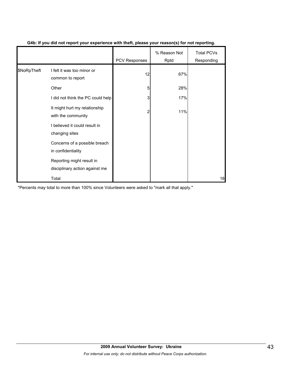|             |                                                             | <b>PCV Responses</b> | % Reason Not<br>Rptd | <b>Total PCVs</b><br>Responding |
|-------------|-------------------------------------------------------------|----------------------|----------------------|---------------------------------|
| \$NoRpTheft | I felt it was too minor or<br>common to report              | 12                   | 67%                  |                                 |
|             | Other                                                       | 5                    | 28%                  |                                 |
|             | I did not think the PC could help                           | 3                    | 17%                  |                                 |
|             | It might hurt my relationship<br>with the community         | 2                    | 11%                  |                                 |
|             | I believed it could result in<br>changing sites             |                      |                      |                                 |
|             | Concerns of a possible breach<br>in confidentiality         |                      |                      |                                 |
|             | Reporting might result in<br>disciplinary action against me |                      |                      |                                 |
|             | Total                                                       |                      |                      | 18                              |

## **G4b: If you did not report your experience with theft, please your reason(s) for not reporting.**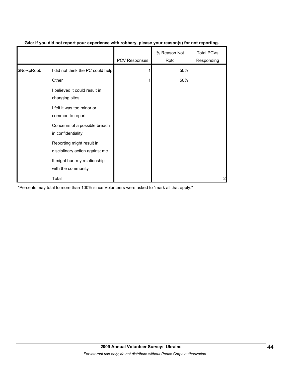|            |                                                             | PCV Responses | % Reason Not<br>Rptd | <b>Total PCVs</b><br>Responding |
|------------|-------------------------------------------------------------|---------------|----------------------|---------------------------------|
| \$NoRpRobb | I did not think the PC could help                           |               | 50%                  |                                 |
|            | Other                                                       |               | 50%                  |                                 |
|            | I believed it could result in<br>changing sites             |               |                      |                                 |
|            | I felt it was too minor or<br>common to report              |               |                      |                                 |
|            | Concerns of a possible breach<br>in confidentiality         |               |                      |                                 |
|            | Reporting might result in<br>disciplinary action against me |               |                      |                                 |
|            | It might hurt my relationship<br>with the community         |               |                      |                                 |
|            | Total                                                       |               |                      | 2                               |

### **G4c: If you did not report your experience with robbery, please your reason(s) for not reporting.**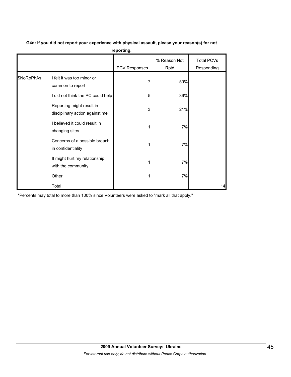|            |                                                             | pg.           |                      |                                 |
|------------|-------------------------------------------------------------|---------------|----------------------|---------------------------------|
|            |                                                             | PCV Responses | % Reason Not<br>Rptd | <b>Total PCVs</b><br>Responding |
| \$NoRpPhAs | I felt it was too minor or<br>common to report              |               | 50%                  |                                 |
|            | I did not think the PC could help                           | 5             | 36%                  |                                 |
|            | Reporting might result in<br>disciplinary action against me | 3             | 21%                  |                                 |
|            | I believed it could result in<br>changing sites             |               | 7%                   |                                 |
|            | Concerns of a possible breach<br>in confidentiality         |               | 7%                   |                                 |
|            | It might hurt my relationship<br>with the community         |               | 7%                   |                                 |
|            | Other                                                       |               | 7%                   |                                 |
|            | Total                                                       |               |                      | 14                              |

**G4d: If you did not report your experience with physical assault, please your reason(s) for not reporting.**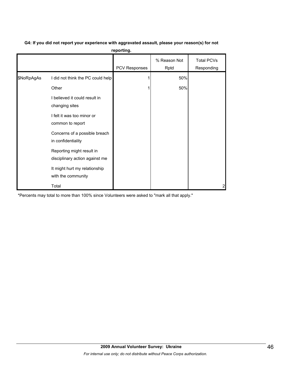| G4: If you did not report your experience with aggravated assault, please your reason(s) for not |
|--------------------------------------------------------------------------------------------------|
| reporting.                                                                                       |

|            |                                                             | PCV Responses | % Reason Not<br>Rptd | <b>Total PCVs</b><br>Responding |
|------------|-------------------------------------------------------------|---------------|----------------------|---------------------------------|
| \$NoRpAgAs | I did not think the PC could help                           |               | 50%                  |                                 |
|            | Other                                                       |               | 50%                  |                                 |
|            | I believed it could result in<br>changing sites             |               |                      |                                 |
|            | I felt it was too minor or<br>common to report              |               |                      |                                 |
|            | Concerns of a possible breach<br>in confidentiality         |               |                      |                                 |
|            | Reporting might result in<br>disciplinary action against me |               |                      |                                 |
|            | It might hurt my relationship<br>with the community         |               |                      |                                 |
|            | Total                                                       |               |                      | 2                               |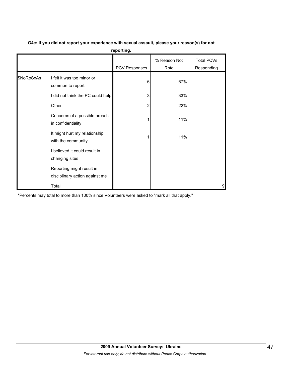| reporting. |                                                             |                      |                      |                                 |  |  |  |  |
|------------|-------------------------------------------------------------|----------------------|----------------------|---------------------------------|--|--|--|--|
|            |                                                             | <b>PCV Responses</b> | % Reason Not<br>Rptd | <b>Total PCVs</b><br>Responding |  |  |  |  |
| \$NoRpSxAs | I felt it was too minor or<br>common to report              | 6                    | 67%                  |                                 |  |  |  |  |
|            | I did not think the PC could help                           | 3                    | 33%                  |                                 |  |  |  |  |
|            | Other                                                       | 2                    | 22%                  |                                 |  |  |  |  |
|            | Concerns of a possible breach<br>in confidentiality         |                      | 11%                  |                                 |  |  |  |  |
|            | It might hurt my relationship<br>with the community         |                      | 11%                  |                                 |  |  |  |  |
|            | I believed it could result in<br>changing sites             |                      |                      |                                 |  |  |  |  |
|            | Reporting might result in<br>disciplinary action against me |                      |                      |                                 |  |  |  |  |
|            | Total                                                       |                      |                      | 9                               |  |  |  |  |

# **G4e: If you did not report your experience with sexual assault, please your reason(s) for not**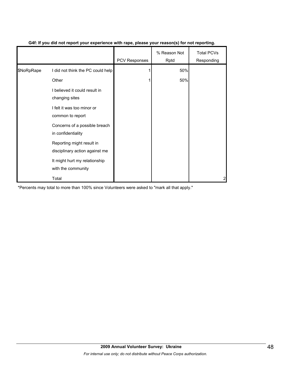|            |                                                             | <b>PCV Responses</b> | % Reason Not<br>Rptd | <b>Total PCVs</b><br>Responding |
|------------|-------------------------------------------------------------|----------------------|----------------------|---------------------------------|
| \$NoRpRape | I did not think the PC could help                           |                      | 50%                  |                                 |
|            | Other                                                       |                      | 50%                  |                                 |
|            | I believed it could result in<br>changing sites             |                      |                      |                                 |
|            | I felt it was too minor or<br>common to report              |                      |                      |                                 |
|            | Concerns of a possible breach<br>in confidentiality         |                      |                      |                                 |
|            | Reporting might result in<br>disciplinary action against me |                      |                      |                                 |
|            | It might hurt my relationship<br>with the community         |                      |                      |                                 |
|            | Total                                                       |                      |                      | 2                               |

## **G4f: If you did not report your experience with rape, please your reason(s) for not reporting.**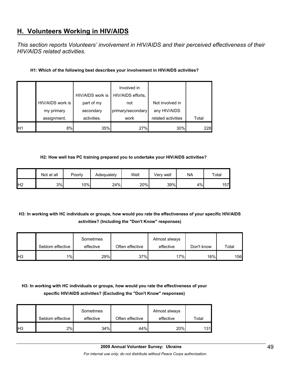# **H. Volunteers Working in HIV/AIDS**

*This section reports Volunteers' involvement in HIV/AIDS and their perceived effectiveness of their HIV/AIDS related activities.* 

## **H1: Which of the following best describes your involvement in HIV/AIDS activities?**

|                 |                  | HIV/AIDS work is | Involved in<br>HIV/AIDS efforts, |                    |       |
|-----------------|------------------|------------------|----------------------------------|--------------------|-------|
|                 | HIV/AIDS work is | part of my       | not                              | Not involved in    |       |
|                 | my primary       | secondary        | primary/secondary                | any HIV/AIDS       |       |
|                 | assignment.      | activities.      | work                             | related activities | Total |
| IH <sub>1</sub> | 8%               | 35%              | 27%                              | 30%                | 228   |

#### **H2: How well has PC training prepared you to undertake your HIV/AIDS activities?**

|                | Not at all | Poorly | Adequately | Well | Verv well | <b>NA</b> | $\tau$ otal |
|----------------|------------|--------|------------|------|-----------|-----------|-------------|
| H <sub>2</sub> | 3%         | 10%    | 24%        | 20%  | 39%       | 4%        | 157         |

# **H3: In working with HC individuals or groups, how would you rate the effectiveness of your specific HIV/AIDS activities? (Including the "Don't Know" responses)**

|                 |                  | Sometimes |                 | Almost always |                  |       |
|-----------------|------------------|-----------|-----------------|---------------|------------------|-------|
|                 | Seldom effective | effective | Often effective | effective     | Don't know       | Total |
| IH <sub>3</sub> | 1%               | 29%       | 37%             | 17%           | 16% <sub>L</sub> | 156   |

# **H3: In working with HC individuals or groups, how would you rate the effectiveness of your specific HIV/AIDS activities? (Excluding the "Don't Know" responses)**

|                | Seldom effective | Sometimes<br>effective | Often effective | Almost always<br>effective | Total |
|----------------|------------------|------------------------|-----------------|----------------------------|-------|
| H <sub>3</sub> | 2%               | 34%                    | 44%             | 20%                        | 131   |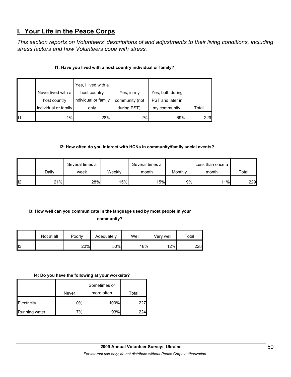# **I. Your Life in the Peace Corps**

*This section reports on Volunteers' descriptions of and adjustments to their living conditions, including stress factors and how Volunteers cope with stress.* 

# **I1: Have you lived with a host country individual or family?**

|                | Never lived with a<br>host country | Yes, I lived with a<br>host country<br>individual or family | Yes, in my<br>community (not | Yes, both during<br>PST and later in |       |
|----------------|------------------------------------|-------------------------------------------------------------|------------------------------|--------------------------------------|-------|
|                | individual or family               | only                                                        | during PST).                 | my community.                        | Total |
| $\blacksquare$ | 1%                                 | 28%                                                         | 2%                           | 69%                                  | 229   |

## **I2: How often do you interact with HCNs in community/family social events?**

|                 |       | Several times a |                  | Several times a |         | Less than once a |       |
|-----------------|-------|-----------------|------------------|-----------------|---------|------------------|-------|
|                 | Daily | week            | Weekly           | month           | Monthly | month            | Total |
| I <sub>12</sub> | 21%   | 28%             | 15% <sub>1</sub> | 15%             | 9%      | 11%              | 229   |

# **I3: How well can you communicate in the language used by most people in your**

**community?** 

|     | Not at all | Poorly | Adequately | Well | Verv well | Total |
|-----|------------|--------|------------|------|-----------|-------|
| ll3 |            | 20%    | 50%        | 18%  | 12%       | 228   |

#### **I4: Do you have the following at your worksite?**

|               |       | Sometimes or |       |
|---------------|-------|--------------|-------|
|               | Never | more often   | Total |
| Electricity   | 0%    | 100%         | 227   |
| Running water | 7%    | 93%          | 224   |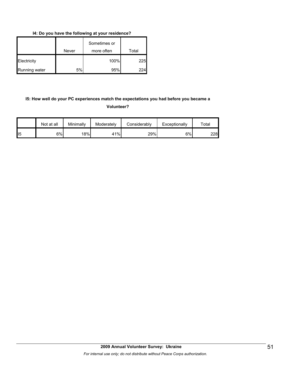**I4: Do you have the following at your residence?**

|               | Never | Sometimes or<br>more often | Total      |
|---------------|-------|----------------------------|------------|
| Electricity   |       | 100%                       | <b>225</b> |
| Running water | 5%    | 95%                        | 224        |

# **I5: How well do your PC experiences match the expectations you had before you became a Volunteer?**

|                | Not at all | Minimally | Moderately | Considerably | Exceptionally | ⊤otal |
|----------------|------------|-----------|------------|--------------|---------------|-------|
| $\mathsf{II}5$ | 6%         | 18%       | 41%        | 29%          | 6%            | 228   |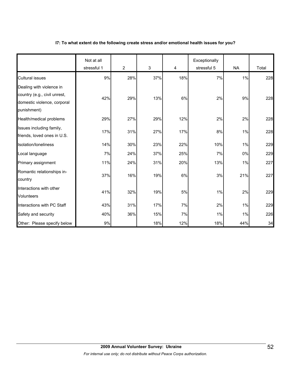#### **I7: To what extent do the following create stress and/or emotional health issues for you?**

|                                                                                                        | Not at all<br>stressful 1 | $\overline{2}$ | 3   | 4   | Exceptionally<br>stressful 5 | <b>NA</b> | Total |
|--------------------------------------------------------------------------------------------------------|---------------------------|----------------|-----|-----|------------------------------|-----------|-------|
| <b>Cultural issues</b>                                                                                 | 9%                        | 28%            | 37% | 18% | 7%                           | 1%        | 228   |
| Dealing with violence in<br>country (e.g., civil unrest,<br>domestic violence, corporal<br>punishment) | 42%                       | 29%            | 13% | 6%  | 2%                           | 9%        | 228   |
| Health/medical problems                                                                                | 29%                       | 27%            | 29% | 12% | 2%                           | 2%        | 228   |
| Issues including family,<br>friends, loved ones in U.S.                                                | 17%                       | 31%            | 27% | 17% | 8%                           | 1%        | 228   |
| Isolation/loneliness                                                                                   | 14%                       | 30%            | 23% | 22% | 10%                          | 1%        | 229   |
| Local language                                                                                         | 7%                        | 24%            | 37% | 25% | 7%                           | 0%        | 229   |
| Primary assignment                                                                                     | 11%                       | 24%            | 31% | 20% | 13%                          | 1%        | 227   |
| Romantic relationships in-<br>country                                                                  | 37%                       | 16%            | 19% | 6%  | 3%                           | 21%       | 227   |
| Interactions with other<br><b>Volunteers</b>                                                           | 41%                       | 32%            | 19% | 5%  | $1\%$                        | 2%        | 229   |
| Interactions with PC Staff                                                                             | 43%                       | 31%            | 17% | 7%  | 2%                           | 1%        | 229   |
| Safety and security                                                                                    | 40%                       | 36%            | 15% | 7%  | $1\%$                        | $1\%$     | 226   |
| Other: Please specify below                                                                            | 9%                        |                | 18% | 12% | 18%                          | 44%       | 34    |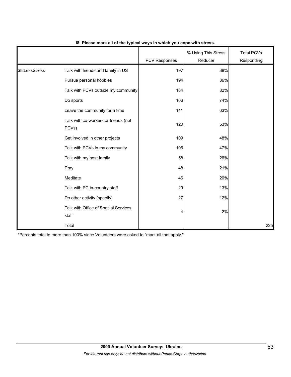|                |                                               | PCV Responses | % Using This Stress<br>Reducer | <b>Total PCVs</b><br>Responding |
|----------------|-----------------------------------------------|---------------|--------------------------------|---------------------------------|
| \$18LessStress | Talk with friends and family in US            | 197           | 88%                            |                                 |
|                | Pursue personal hobbies                       | 194           | 86%                            |                                 |
|                | Talk with PCVs outside my community           | 184           | 82%                            |                                 |
|                | Do sports                                     | 166           | 74%                            |                                 |
|                | Leave the community for a time                | 141           | 63%                            |                                 |
|                | Talk with co-workers or friends (not<br>PCVs) | 120           | 53%                            |                                 |
|                | Get involved in other projects                | 109           | 48%                            |                                 |
|                | Talk with PCVs in my community                | 106           | 47%                            |                                 |
|                | Talk with my host family                      | 58            | 26%                            |                                 |
|                | Pray                                          | 48            | 21%                            |                                 |
|                | Meditate                                      | 46            | 20%                            |                                 |
|                | Talk with PC in-country staff                 | 29            | 13%                            |                                 |
|                | Do other activity (specify)                   | 27            | 12%                            |                                 |
|                | Talk with Office of Special Services<br>staff | 4             | 2%                             |                                 |
|                | Total                                         |               |                                | 225                             |

#### **I8: Please mark all of the typical ways in which you cope with stress.**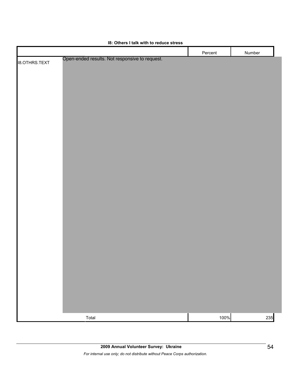|                      |                                                | Percent | Number |  |
|----------------------|------------------------------------------------|---------|--------|--|
| <b>18.OTHRS.TEXT</b> | Open-ended results. Not responsive to request. |         |        |  |
|                      |                                                |         |        |  |
|                      |                                                |         |        |  |
|                      |                                                |         |        |  |
|                      |                                                |         |        |  |
|                      |                                                |         |        |  |
|                      |                                                |         |        |  |
|                      |                                                |         |        |  |
|                      |                                                |         |        |  |
|                      |                                                |         |        |  |
|                      |                                                |         |        |  |
|                      |                                                |         |        |  |
|                      |                                                |         |        |  |
|                      |                                                |         |        |  |
|                      |                                                |         |        |  |
|                      |                                                |         |        |  |
|                      |                                                |         |        |  |
|                      |                                                |         |        |  |
|                      |                                                |         |        |  |
|                      |                                                |         |        |  |
|                      |                                                |         |        |  |
|                      |                                                |         |        |  |
|                      |                                                |         |        |  |
|                      |                                                |         |        |  |
|                      |                                                |         |        |  |
|                      |                                                |         |        |  |
|                      |                                                |         |        |  |
|                      |                                                |         |        |  |
|                      |                                                |         |        |  |
|                      |                                                |         |        |  |
|                      |                                                | 100%    | 235    |  |
|                      | Total                                          |         |        |  |

### **I8: Others I talk with to reduce stress**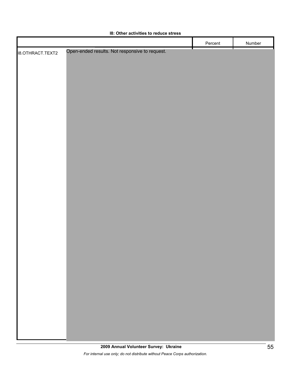|                  |                                                | Percent | Number |
|------------------|------------------------------------------------|---------|--------|
| 18.OTHRACT.TEXT2 | Open-ended results. Not responsive to request. |         |        |
|                  |                                                |         |        |
|                  |                                                |         |        |
|                  |                                                |         |        |
|                  |                                                |         |        |
|                  |                                                |         |        |
|                  |                                                |         |        |
|                  |                                                |         |        |
|                  |                                                |         |        |
|                  |                                                |         |        |
|                  |                                                |         |        |
|                  |                                                |         |        |
|                  |                                                |         |        |
|                  |                                                |         |        |
|                  |                                                |         |        |
|                  |                                                |         |        |
|                  |                                                |         |        |
|                  |                                                |         |        |
|                  |                                                |         |        |
|                  |                                                |         |        |
|                  |                                                |         |        |
|                  |                                                |         |        |
|                  |                                                |         |        |
|                  |                                                |         |        |
|                  |                                                |         |        |
|                  |                                                |         |        |
|                  |                                                |         |        |
|                  |                                                |         |        |
|                  |                                                |         |        |
|                  |                                                |         |        |
|                  |                                                |         |        |
|                  |                                                |         |        |
|                  |                                                |         |        |
|                  |                                                |         |        |

## **I8: Other activities to reduce stress**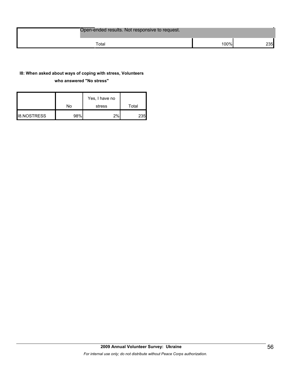| Open-ended results. Not responsive to request. |      |      |
|------------------------------------------------|------|------|
| $\tau$ otal                                    | 100% | 235I |

## **I8: When asked about ways of coping with stress, Volunteers**

#### **who answered "No stress"**

|                    | No  | Yes, I have no<br>stress | Total |
|--------------------|-----|--------------------------|-------|
| <b>I8.NOSTRESS</b> | 98% | $2\%$                    | 235   |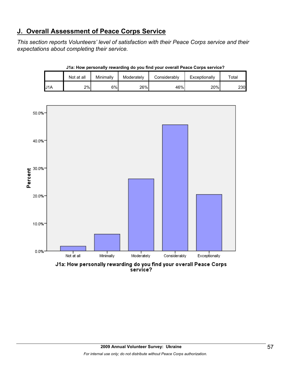# **J. Overall Assessment of Peace Corps Service**

*This section reports Volunteers' level of satisfaction with their Peace Corps service and their expectations about completing their service.* 

|     | Not at all | Minimally | Moderately | Considerably | Exceptionally | ⊤otal      |
|-----|------------|-----------|------------|--------------|---------------|------------|
| U1A | 2%         | 6%        | 26%        | 46%          | 20%           | <b>230</b> |





J1a: How personally rewarding do you find your overall Peace Corps service?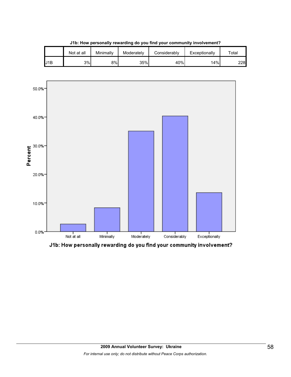|     | Not at all | Minimally | Moderately | Considerablv | Exceptionally | ™ota⊩ |
|-----|------------|-----------|------------|--------------|---------------|-------|
| J1B | 3%         | 8%l       | 35%        | 40%          | 14%           | 2281  |

**J1b: How personally rewarding do you find your community involvement?**



J1b: How personally rewarding do you find your community involvement?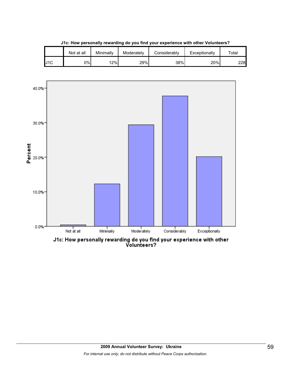|     | Not at all | Minimallv | Moderately | Considerablv | Exceptionally | ™ota⊩ |
|-----|------------|-----------|------------|--------------|---------------|-------|
| J1C | 0%l        | 12%       | 29%        | 38%          | 20%           | 2281  |

**J1c: How personally rewarding do you find your experience with other Volunteers?**



J1c: How personally rewarding do you find your experience with other<br>Volunteers?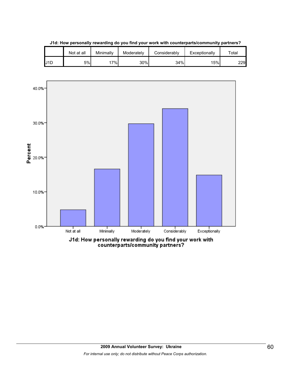|     | Not at all | Minimally | Moderately | Considerably | Exceptionally | $\tau$ otal |
|-----|------------|-----------|------------|--------------|---------------|-------------|
| J1D | 5%         | 17%       | 30%        | 34%          | 15%           | 229         |

**J1d: How personally rewarding do you find your work with counterparts/community partners?**

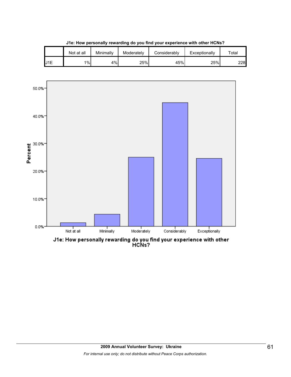|     | Not at all | Minimallv | Moderately | Considerablv | Exceptionally | $\tau$ otal |
|-----|------------|-----------|------------|--------------|---------------|-------------|
| J1E | 1%         | 4%        | 25%        | 45%          | 25%           | 228         |

**J1e: How personally rewarding do you find your experience with other HCNs?**



J1e: How personally rewarding do you find your experience with other<br>HCNs?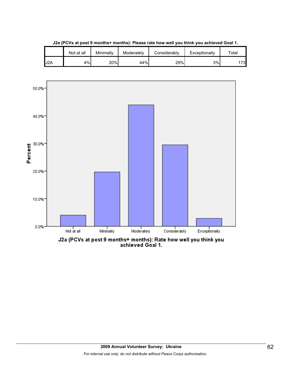

**J2a (PCVs at post 9 months+ months): Please rate how well you think you achieved Goal 1.**

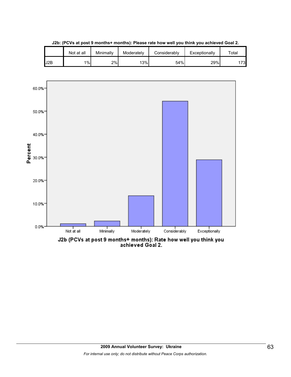

**J2b: (PCVs at post 9 months+ months): Please rate how well you think you achieved Goal 2.**

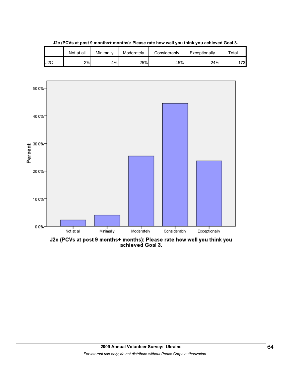

**J2c (PCVs at post 9 months+ months): Please rate how well you think you achieved Goal 3.**



J2c (PCVs at post 9 months+ months): Please rate how well you think you<br>achieved Goal 3.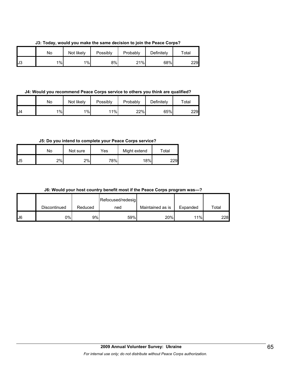**J3: Today, would you make the same decision to join the Peace Corps?**

|    | No | Not likely | Possibly | Probably | Definitely | Total |
|----|----|------------|----------|----------|------------|-------|
| J3 | 1% | $1\%$      | 8%       | 21%      | 68%        | 229   |

**J4: Would you recommend Peace Corps service to others you think are qualified?**

|    | No | Not likely | Possibly | Probably | Definitely | $\tau$ otal |
|----|----|------------|----------|----------|------------|-------------|
| J4 | 1% | $1\%$      | 11%      | 22%      | 65%        | 229         |

**J5: Do you intend to complete your Peace Corps service?**

|    | No  | Not sure | Yes | Might extend | Total |
|----|-----|----------|-----|--------------|-------|
| J5 | 2%l | 2%       | 78% | 18%          | 229   |

**J6: Would your host country benefit most if the Peace Corps program was---?**

|     |              |         | Refocused/redesig |                  |          |       |
|-----|--------------|---------|-------------------|------------------|----------|-------|
|     | Discontinued | Reduced | ned               | Maintained as is | Expanded | Total |
| IJ6 | $0\%$        | 9%      | 59%               | 20%              | 11%      | 228   |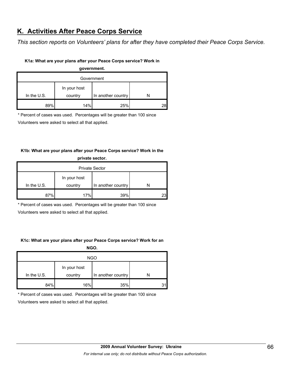# **K. Activities After Peace Corps Service**

*This section reports on Volunteers' plans for after they have completed their Peace Corps Service.* 

### **K1a: What are your plans after your Peace Corps service? Work in**

**government.**

| Government  |              |                    |  |  |  |  |
|-------------|--------------|--------------------|--|--|--|--|
| In the U.S. | In your host |                    |  |  |  |  |
|             | country      | In another country |  |  |  |  |
| 89%         | 14%          | 25%                |  |  |  |  |

\* Percent of cases was used. Percentages will be greater than 100 since

Volunteers were asked to select all that applied.

# **K1b: What are your plans after your Peace Corps service? Work in the private sector.**

| <b>Private Sector</b> |                         |     |  |  |
|-----------------------|-------------------------|-----|--|--|
| In the $U.S.$         | In your host<br>country |     |  |  |
| 87%                   | 17%                     | 39% |  |  |

\* Percent of cases was used. Percentages will be greater than 100 since

Volunteers were asked to select all that applied.

## **K1c: What are your plans after your Peace Corps service? Work for an**

**NGO.**

| <b>NGO</b>  |                         |                    |    |  |
|-------------|-------------------------|--------------------|----|--|
| In the U.S. | In your host<br>country | In another country |    |  |
| 84%         | 16%                     | 35%                | 31 |  |

\* Percent of cases was used. Percentages will be greater than 100 since

Volunteers were asked to select all that applied.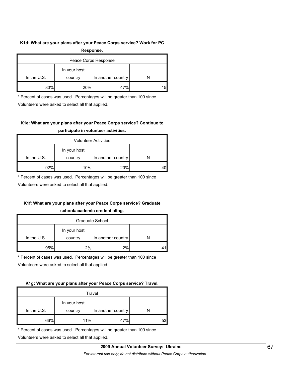#### **K1d: What are your plans after your Peace Corps service? Work for PC**

| Response.            |              |                    |    |  |  |
|----------------------|--------------|--------------------|----|--|--|
| Peace Corps Response |              |                    |    |  |  |
|                      | In your host |                    |    |  |  |
| In the $U.S.$        | country      | In another country |    |  |  |
| 80%                  | 20%          | 47%                | 15 |  |  |

\* Percent of cases was used. Percentages will be greater than 100 since

Volunteers were asked to select all that applied.

# **K1e: What are your plans after your Peace Corps service? Continue to participate in volunteer activities.**

| <b>Volunteer Activities</b> |              |                    |  |  |
|-----------------------------|--------------|--------------------|--|--|
|                             | In your host |                    |  |  |
| In the $U.S.$               | country      | In another country |  |  |
| 92%                         | 10%          | 20%                |  |  |

\* Percent of cases was used. Percentages will be greater than 100 since

Volunteers were asked to select all that applied.

# **K1f: What are your plans after your Peace Corps service? Graduate**

#### **school/academic credentialing.**

| Graduate School |              |                    |  |  |
|-----------------|--------------|--------------------|--|--|
|                 | In your host |                    |  |  |
| In the U.S.     | country      | In another country |  |  |
| 95%             | 2%           | 2%                 |  |  |

\* Percent of cases was used. Percentages will be greater than 100 since

Volunteers were asked to select all that applied.

## **K1g: What are your plans after your Peace Corps service? Travel.**

| Travel      |              |                    |    |
|-------------|--------------|--------------------|----|
|             | In your host |                    |    |
| In the U.S. | country      | In another country |    |
| 66%         | 11%          | 70,                | 53 |

\* Percent of cases was used. Percentages will be greater than 100 since

Volunteers were asked to select all that applied.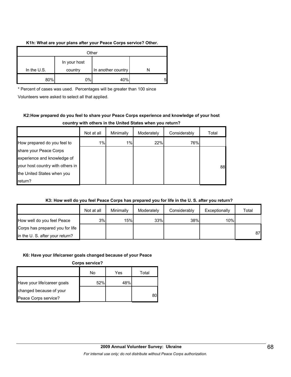#### **K1h: What are your plans after your Peace Corps service? Other.**

| Other       |                         |                    |   |  |
|-------------|-------------------------|--------------------|---|--|
| In the U.S. | In your host<br>country | In another country |   |  |
| 80%         | $0\%$                   | 40%                | 5 |  |

\* Percent of cases was used. Percentages will be greater than 100 since

Volunteers were asked to select all that applied.

# **K2:How prepared do you feel to share your Peace Corps experience and knowledge of your host country with others in the United States when you return?**

|                                  | Not at all | Minimally | Moderately | Considerably | Total |
|----------------------------------|------------|-----------|------------|--------------|-------|
| How prepared do you feel to      | 1%         | 1%        | 22%        | 76%          |       |
| share your Peace Corps           |            |           |            |              |       |
| experience and knowledge of      |            |           |            |              |       |
| your host country with others in |            |           |            |              | 88    |
| the United States when you       |            |           |            |              |       |
| return?                          |            |           |            |              |       |

## **K3: How well do you feel Peace Corps has prepared you for life in the U. S. after you return?**

|                                 | Not at all | Minimally | Moderately | Considerably | Exceptionally | Total |
|---------------------------------|------------|-----------|------------|--------------|---------------|-------|
| How well do you feel Peace      | 3%         | 15%       | 33%        | 38%          | 10%           |       |
| Corps has prepared you for life |            |           |            |              |               |       |
| in the U.S. after your return?  |            |           |            |              |               | 87    |

#### **K6: Have your life/career goals changed because of your Peace**

**Corps service?**

|                             | No  | Yes | Total |
|-----------------------------|-----|-----|-------|
| Have your life/career goals | 52% | 48% |       |
| changed because of your     |     |     |       |
| Peace Corps service?        |     |     |       |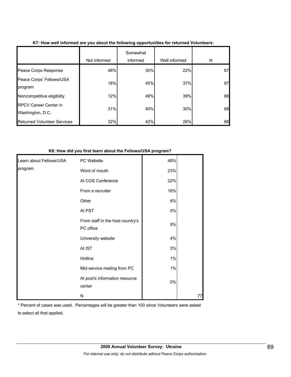|                                                  | Not informed | Somewhat<br>informed | Well informed | N  |
|--------------------------------------------------|--------------|----------------------|---------------|----|
| Peace Corps Response                             | 48%          | 30%                  | 22%           | 87 |
| Peace Corps' Fellows/USA<br>program              | 18%          | 45%                  | 37%           | 87 |
| Noncompetitive eligibility                       | 12%          | 49%                  | 39%           | 88 |
| <b>RPCV Career Center in</b><br>Washington, D.C. | 31%          | 40%                  | 30%           | 88 |
| <b>Returned Volunteer Services</b>               | 32%          | 42%                  | 26%           | 88 |

## **K7: How well informed are you about the following opportunities for returned Volunteers:**

#### **K8: How did you first learn about the Fellows/USA program?**

| Learn about Fellows/USA | PC Website                                    | 48%   |    |
|-------------------------|-----------------------------------------------|-------|----|
| program                 | Word of mouth                                 | 23%   |    |
|                         | At COS Conference                             | 22%   |    |
|                         | From a recruiter                              | 16%   |    |
|                         | Other                                         | 6%    |    |
|                         | At PST                                        | $5\%$ |    |
|                         | From staff in the host country's<br>PC office | $5\%$ |    |
|                         | University website                            | 4%    |    |
|                         | At IST                                        | 3%    |    |
|                         | Hotline                                       | $1\%$ |    |
|                         | Mid-service mailing from PC                   | 1%    |    |
|                         | At post's information resource<br>center      | $0\%$ |    |
|                         | N                                             |       | 77 |

\* Percent of cases was used. Percentages will be greater than 100 since Volunteers were asked to select all that applied.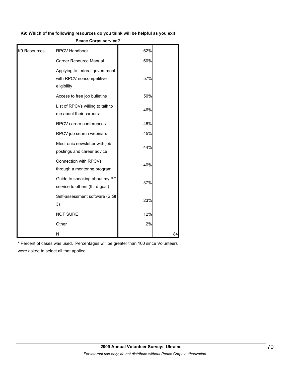#### **K9: Which of the following resources do you think will be helpful as you exit**

|  | <b>Peace Corps service?</b> |
|--|-----------------------------|
|  |                             |

| K9 Resources | <b>RPCV Handbook</b>                                                      | 62% |    |
|--------------|---------------------------------------------------------------------------|-----|----|
|              | <b>Career Resource Manual</b>                                             | 60% |    |
|              | Applying to federal government<br>with RPCV noncompetitive<br>eligibility | 57% |    |
|              | Access to free job bulletins                                              | 50% |    |
|              | List of RPCVs willing to talk to<br>me about their careers                | 46% |    |
|              | RPCV career conferences                                                   | 46% |    |
|              | RPCV job search webinars                                                  | 45% |    |
|              | Electronic newsletter with job<br>postings and career advice              | 44% |    |
|              | <b>Connection with RPCVs</b><br>through a mentoring program               | 40% |    |
|              | Guide to speaking about my PC<br>service to others (third goal)           | 37% |    |
|              | Self-assessment software (SIGI<br>3)                                      | 23% |    |
|              | <b>NOT SURE</b>                                                           | 12% |    |
|              | Other                                                                     | 2%  |    |
|              | N                                                                         |     | 84 |

\* Percent of cases was used. Percentages will be greater than 100 since Volunteers were asked to select all that applied.